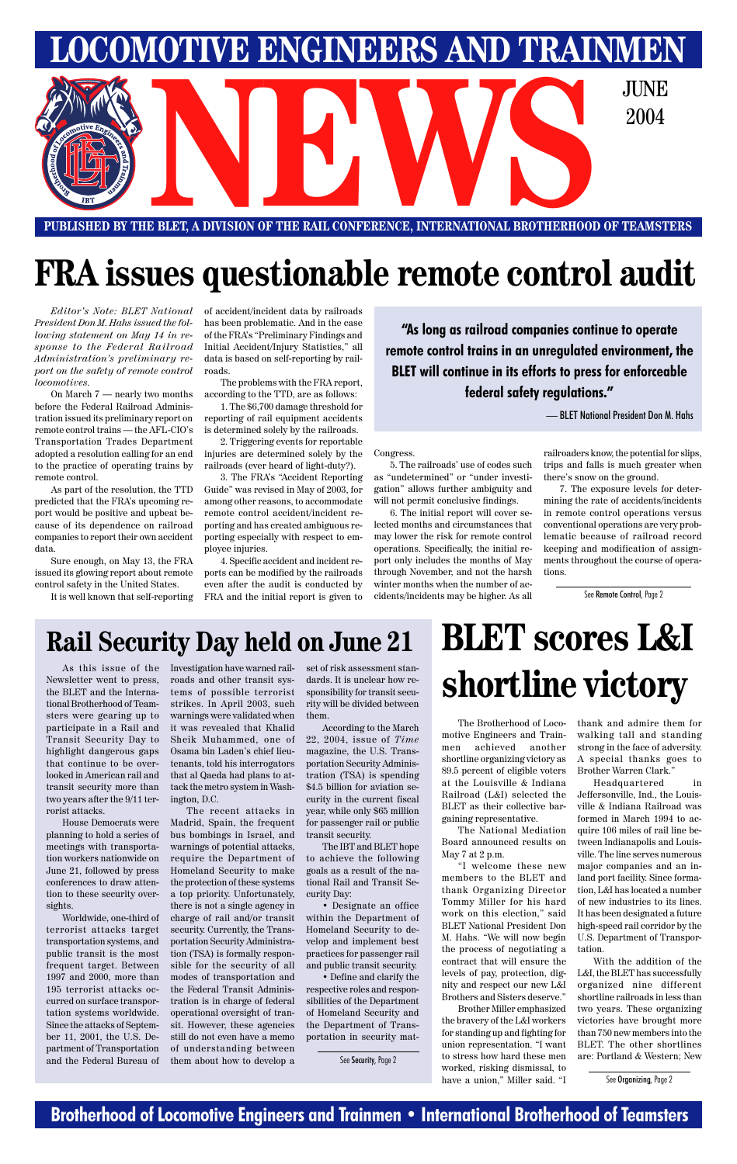### **Brotherhood of Locomotive Engineers and Trainmen • International Brotherhood of Teamsters**

# **FRA issues questionable remote control audit**

*Editor's Note: BLET National President Don M. Hahs issued the following statement on May 14 in response to the Federal Railroad Administration's preliminary report on the safety of remote control locomotives.*

On March 7 — nearly two months before the Federal Railroad Administration issued its preliminary report on remote control trains — the AFL-CIO's Transportation Trades Department adopted a resolution calling for an end to the practice of operating trains by remote control.

As part of the resolution, the TTD predicted that the FRA's upcoming report would be positive and upbeat because of its dependence on railroad companies to report their own accident data.

Sure enough, on May 13, the FRA issued its glowing report about remote control safety in the United States.

It is well known that self-reporting

of accident/incident data by railroads has been problematic. And in the case of the FRA's "Preliminary Findings and Initial Accident/Injury Statistics," all data is based on self-reporting by railroads.

The problems with the FRA report, according to the TTD, are as follows:

1. The \$6,700 damage threshold for reporting of rail equipment accidents is determined solely by the railroads.

2. Triggering events for reportable injuries are determined solely by the railroads (ever heard of light-duty?).

3. The FRA's "Accident Reporting Guide" was revised in May of 2003, for among other reasons, to accommodate remote control accident/incident reporting and has created ambiguous reporting especially with respect to employee injuries.

4. Specific accident and incident reports can be modified by the railroads even after the audit is conducted by FRA and the initial report is given to Congress.

5. The railroads' use of codes such as "undetermined" or "under investigation" allows further ambiguity and will not permit conclusive findings.

6. The initial report will cover selected months and circumstances that may lower the risk for remote control operations. Specifically, the initial report only includes the months of May through November, and not the harsh winter months when the number of accidents/incidents may be higher. As all

**"As long as railroad companies continue to operate remote control trains in an unregulated environment, the BLET will continue in its efforts to press for enforceable federal safety regulations."**

> railroaders know, the potential for slips, trips and falls is much greater when there's snow on the ground.

> 7. The exposure levels for determining the rate of accidents/incidents in remote control operations versus conventional operations are very problematic because of railroad record keeping and modification of assignments throughout the course of operations.



**PUBLISHED BY THE BLET, A DIVISION OF THE RAIL CONFERENCE, INTERNATIONAL BROTHERHOOD OF TEAMSTERS**

— BLET National President Don M. Hahs

The Brotherhood of Locomotive Engineers and Trainmen achieved another shortline organizing victory as 89.5 percent of eligible voters at the Louisville & Indiana Railroad (L&I) selected the BLET as their collective bargaining representative.

The National Mediation Board announced results on May 7 at 2 p.m.

"I welcome these new members to the BLET and thank Organizing Director Tommy Miller for his hard work on this election," said BLET National President Don M. Hahs. "We will now begin the process of negotiating a contract that will ensure the levels of pay, protection, dignity and respect our new L&I Brothers and Sisters deserve."

Brother Miller emphasized the bravery of the L&I workers for standing up and fighting for union representation. "I want to stress how hard these men worked, risking dismissal, to have a union," Miller said. "I

thank and admire them for walking tall and standing strong in the face of adversity. A special thanks goes to Brother Warren Clark."

Headquartered in Jeffersonville, Ind., the Louisville & Indiana Railroad was formed in March 1994 to acquire 106 miles of rail line between Indianapolis and Louisville. The line serves numerous major companies and an inland port facility. Since formation, L&I has located a number of new industries to its lines. It has been designated a future high-speed rail corridor by the U.S. Department of Transportation. With the addition of the L&I, the BLET has successfully organized nine different shortline railroads in less than two years. These organizing victories have brought more than 750 new members into the BLET. The other shortlines are: Portland & Western; New

As this issue of the Newsletter went to press, the BLET and the International Brotherhood of Teamsters were gearing up to participate in a Rail and Transit Security Day to highlight dangerous gaps that continue to be overlooked in American rail and transit security more than two years after the 9/11 terrorist attacks.

House Democrats were planning to hold a series of meetings with transportation workers nationwide on June 21, followed by press conferences to draw attention to these security oversights. Worldwide, one-third of terrorist attacks target transportation systems, and public transit is the most frequent target. Between 1997 and 2000, more than 195 terrorist attacks occurred on surface transportation systems worldwide. Since the attacks of September 11, 2001, the U.S. Department of Transportation and the Federal Bureau of

Investigation have warned railroads and other transit systems of possible terrorist strikes. In April 2003, such warnings were validated when it was revealed that Khalid Sheik Muhammed, one of Osama bin Laden's chief lieutenants, told his interrogators that al Qaeda had plans to attack the metro system in Washington, D.C.

The recent attacks in Madrid, Spain, the frequent bus bombings in Israel, and warnings of potential attacks, require the Department of Homeland Security to make the protection of these systems a top priority. Unfortunately, there is not a single agency in charge of rail and/or transit security. Currently, the Transportation Security Administration (TSA) is formally responsible for the security of all modes of transportation and the Federal Transit Administration is in charge of federal operational oversight of transit. However, these agencies still do not even have a memo of understanding between them about how to develop a

set of risk assessment standards. It is unclear how responsibility for transit security will be divided between them.

According to the March 22, 2004, issue of *Time* magazine, the U.S. Transportation Security Administration (TSA) is spending \$4.5 billion for aviation security in the current fiscal year, while only \$65 million for passenger rail or public transit security.

The IBT and BLET hope

to achieve the following goals as a result of the national Rail and Transit Security Day:

• Designate an office within the Department of Homeland Security to develop and implement best practices for passenger rail and public transit security.

• Define and clarify the respective roles and responsibilities of the Department of Homeland Security and the Department of Transportation in security mat-

# **Rail Security Day held on June 21 BLET scores L&I**

# **shortline victory**

See Security, Page 2

See Organizing, Page 2

See Remote Control, Page 2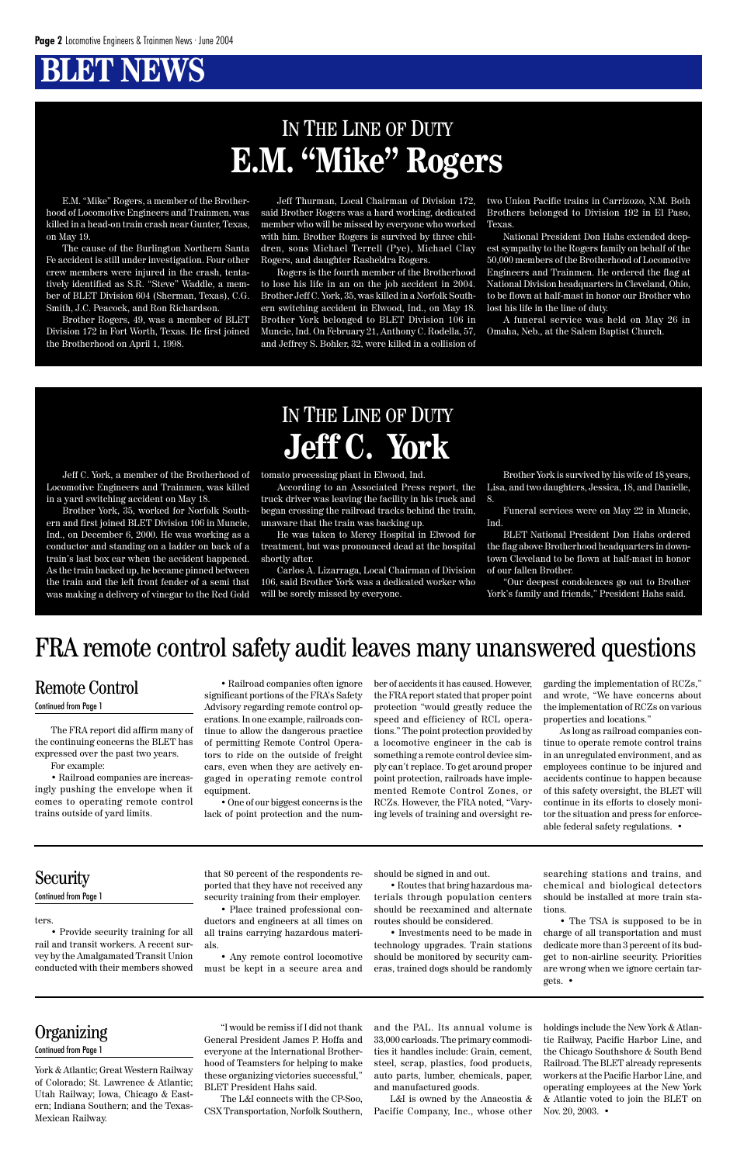# **BLET NEWS**

E.M. "Mike" Rogers, a member of the Brotherhood of Locomotive Engineers and Trainmen, was killed in a head-on train crash near Gunter, Texas, on May 19.

The cause of the Burlington Northern Santa Fe accident is still under investigation. Four other crew members were injured in the crash, tentatively identified as S.R. "Steve" Waddle, a member of BLET Division 604 (Sherman, Texas), C.G. Smith, J.C. Peacock, and Ron Richardson.

Brother Rogers, 49, was a member of BLET Division 172 in Fort Worth, Texas. He first joined the Brotherhood on April 1, 1998.

Jeff Thurman, Local Chairman of Division 172, said Brother Rogers was a hard working, dedicated member who will be missed by everyone who worked with him. Brother Rogers is survived by three children, sons Michael Terrell (Pye), Michael Clay Rogers, and daughter Rasheldra Rogers.

Rogers is the fourth member of the Brotherhood to lose his life in an on the job accident in 2004. Brother Jeff C. York, 35, was killed in a Norfolk Southern switching accident in Elwood, Ind., on May 18. Brother York belonged to BLET Division 106 in Muncie, Ind. On February 21, Anthony C. Rodella, 57, and Jeffrey S. Bohler, 32, were killed in a collision of two Union Pacific trains in Carrizozo, N.M. Both Brothers belonged to Division 192 in El Paso, Texas.

National President Don Hahs extended deepest sympathy to the Rogers family on behalf of the 50,000 members of the Brotherhood of Locomotive Engineers and Trainmen. He ordered the flag at National Division headquarters in Cleveland, Ohio, to be flown at half-mast in honor our Brother who lost his life in the line of duty.

A funeral service was held on May 26 in Omaha, Neb., at the Salem Baptist Church.

# IN THE LINE OF DUTY **E.M. "Mike" Rogers**

# IN THE LINE OF DUTY **Jeff C. York**

Jeff C. York, a member of the Brotherhood of Locomotive Engineers and Trainmen, was killed in a yard switching accident on May 18.

Brother York, 35, worked for Norfolk Southern and first joined BLET Division 106 in Muncie, Ind., on December 6, 2000. He was working as a conductor and standing on a ladder on back of a train's last box car when the accident happened. As the train backed up, he became pinned between the train and the left front fender of a semi that was making a delivery of vinegar to the Red Gold

tomato processing plant in Elwood, Ind.

According to an Associated Press report, the truck driver was leaving the facility in his truck and began crossing the railroad tracks behind the train, unaware that the train was backing up.

He was taken to Mercy Hospital in Elwood for treatment, but was pronounced dead at the hospital shortly after.

Carlos A. Lizarraga, Local Chairman of Division 106, said Brother York was a dedicated worker who will be sorely missed by everyone.

Brother York is survived by his wife of 18 years, Lisa, and two daughters, Jessica, 18, and Danielle, 8.

Funeral services were on May 22 in Muncie, Ind.

BLET National President Don Hahs ordered the flag above Brotherhood headquarters in downtown Cleveland to be flown at half-mast in honor of our fallen Brother.

"Our deepest condolences go out to Brother York's family and friends," President Hahs said.

The FRA report did affirm many of the continuing concerns the BLET has expressed over the past two years.

> holdings include the New York & Atlantic Railway, Pacific Harbor Line, and the Chicago Southshore & South Bend Railroad. The BLET already represents workers at the Pacific Harbor Line, and operating employees at the New York & Atlantic voted to join the BLET on Nov. 20, 2003. •

For example:

• Railroad companies are increasingly pushing the envelope when it comes to operating remote control trains outside of yard limits.

• Railroad companies often ignore significant portions of the FRA's Safety Advisory regarding remote control operations. In one example, railroads continue to allow the dangerous practice of permitting Remote Control Operators to ride on the outside of freight cars, even when they are actively engaged in operating remote control equipment.

• One of our biggest concerns is the lack of point protection and the number of accidents it has caused. However, the FRA report stated that proper point protection "would greatly reduce the speed and efficiency of RCL operations." The point protection provided by a locomotive engineer in the cab is something a remote control device simply can't replace. To get around proper point protection, railroads have implemented Remote Control Zones, or RCZs. However, the FRA noted, "Varying levels of training and oversight regarding the implementation of RCZs," and wrote, "We have concerns about the implementation of RCZs on various properties and locations."

As long as railroad companies continue to operate remote control trains in an unregulated environment, and as employees continue to be injured and accidents continue to happen because of this safety oversight, the BLET will continue in its efforts to closely monitor the situation and press for enforceable federal safety regulations. •

#### ters.

• Provide security training for all rail and transit workers. A recent survey by the Amalgamated Transit Union conducted with their members showed that 80 percent of the respondents reported that they have not received any security training from their employer.

- Place trained professional conductors and engineers at all times on all trains carrying hazardous materials.
- Any remote control locomotive must be kept in a secure area and

should be signed in and out.

• Routes that bring hazardous materials through population centers should be reexamined and alternate routes should be considered.

• Investments need to be made in technology upgrades. Train stations should be monitored by security cameras, trained dogs should be randomly

searching stations and trains, and chemical and biological detectors should be installed at more train stations.

• The TSA is supposed to be in charge of all transportation and must dedicate more than 3 percent of its budget to non-airline security. Priorities are wrong when we ignore certain targets. •

### **Organizing**

York & Atlantic; Great Western Railway of Colorado; St. Lawrence & Atlantic; Utah Railway; Iowa, Chicago & Eastern; Indiana Southern; and the Texas-Mexican Railway.

"I would be remiss if I did not thank General President James P. Hoffa and everyone at the International Brotherhood of Teamsters for helping to make these organizing victories successful," BLET President Hahs said.

The L&I connects with the CP-Soo, CSX Transportation, Norfolk Southern, and the PAL. Its annual volume is 33,000 carloads. The primary commodities it handles include: Grain, cement, steel, scrap, plastics, food products, auto parts, lumber, chemicals, paper, and manufactured goods.

L&I is owned by the Anacostia & Pacific Company, Inc., whose other

### Remote Control

#### Continued from Page 1

| Security                     |  |
|------------------------------|--|
| <b>Continued from Page 1</b> |  |

#### Continued from Page 1

### FRA remote control safety audit leaves many unanswered questions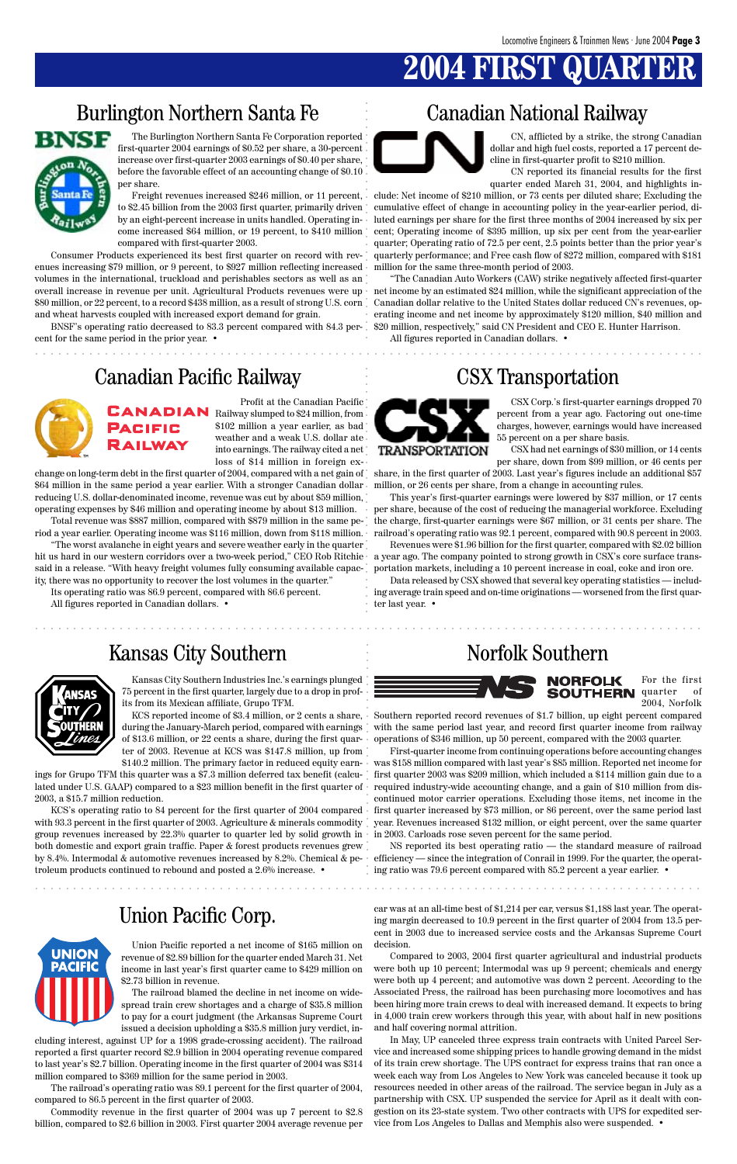# **2004 FIRST QUARTER**

### Burlington Northern Santa Fe Canadian National Railway



### Canadian Pacific Railway CSX Transportation



### Union Pacific Corp.

aaaaaaaaaaaaaaaaaaaaaaaaaaaaaaaaaaaaaaaaaaaaaaaaaaaaaaaaaaaaaaaaaaaaaaaaaaaaaaaaaaaaaaa

aaaaaaaaaaaaaaaaaaaaaaaaaaaaaaaaaaaaaaaaaaaaaaaaaaaaaaaaaaaaaaaaaaaaaaaaaaaaaaaaaaaaaaa

The Burlington Northern Santa Fe Corporation reported first-quarter 2004 earnings of \$0.52 per share, a 30-percent increase over first-quarter 2003 earnings of \$0.40 per share, before the favorable effect of an accounting change of \$0.10 per share.

Freight revenues increased \$246 million, or 11 percent, to \$2.45 billion from the 2003 first quarter, primarily driven by an eight-percent increase in units handled. Operating income increased \$64 million, or 19 percent, to \$410 million compared with first-quarter 2003.

Consumer Products experienced its best first quarter on record with revenues increasing \$79 million, or 9 percent, to \$927 million reflecting increased volumes in the international, truckload and perishables sectors as well as an overall increase in revenue per unit. Agricultural Products revenues were up net income by an estimated \$24 million, while the significant appreciation of the \$80 million, or 22 percent, to a record \$438 million, as a result of strong U.S. corn Canadian dollar relative to the United States dollar reduced CN's revenues, opand wheat harvests coupled with increased export demand for grain.

BNSF's operating ratio decreased to 83.3 percent compared with 84.3 percent for the same period in the prior year. •

CN, afflicted by a strike, the strong Canadian dollar and high fuel costs, reported a 17 percent decline in first-quarter profit to \$210 million.

CN reported its financial results for the first quarter ended March 31, 2004, and highlights in-

clude: Net income of \$210 million, or 73 cents per diluted share; Excluding the cumulative effect of change in accounting policy in the year-earlier period, diluted earnings per share for the first three months of 2004 increased by six per cent; Operating income of \$395 million, up six per cent from the year-earlier quarter; Operating ratio of 72.5 per cent, 2.5 points better than the prior year's quarterly performance; and Free cash flow of \$272 million, compared with \$181 million for the same three-month period of 2003.

"The Canadian Auto Workers (CAW) strike negatively affected first-quarter erating income and net income by approximately \$120 million, \$40 million and \$20 million, respectively," said CN President and CEO E. Hunter Harrison.

All figures reported in Canadian dollars. •

Profit at the Canadian Pacific **CANADIAN** Railway slumped to \$24 million, from \$102 million a year earlier, as bad weather and a weak U.S. dollar ate into earnings. The railway cited a net loss of \$14 million in foreign ex-

KCS's operating ratio to 84 percent for the first quarter of 2004 compared. with 93.3 percent in the first quarter of 2003. Agriculture & minerals commodity group revenues increased by 22.3% quarter to quarter led by solid growth in both domestic and export grain traffic. Paper & forest products revenues grew by 8.4%. Intermodal & automotive revenues increased by 8.2%. Chemical & petroleum products continued to rebound and posted a 2.6% increase. •



change on long-term debt in the first quarter of 2004, compared with a net gain of \$64 million in the same period a year earlier. With a stronger Canadian dollar reducing U.S. dollar-denominated income, revenue was cut by about \$59 million, operating expenses by \$46 million and operating income by about \$13 million.

Total revenue was \$887 million, compared with \$879 million in the same period a year earlier. Operating income was \$116 million, down from \$118 million.

> NS reported its best operating ratio — the standard measure of railroad efficiency — since the integration of Conrail in 1999. For the quarter, the operating ratio was 79.6 percent compared with 85.2 percent a year earlier.  $\bullet$

"The worst avalanche in eight years and severe weather early in the quarter hit us hard in our western corridors over a two-week period," CEO Rob Ritchie said in a release. "With heavy freight volumes fully consuming available capacity, there was no opportunity to recover the lost volumes in the quarter."

aaaaaaaaaaaaaaaaaaaaaaaaaaaaaaaaaaaaaaaaaaaaaaaaaaaaaaaaaaaaaaaaaa aaaaaaaaaaaaaaaaaaaaa aaaaaaaaaaaaaaaaaaaaaaaaaaaaaaa aaaaaaaaaaaaaa aaaaaaaaaaaaaaaa aaaaaaaaaaa aaaaaaaaaaaaaaaaaaaaa First-quarter income from continuing operations before accounting changes was \$158 million compared with last year's \$85 million. Reported net income for first quarter 2003 was \$209 million, which included a \$114 million gain due to a required industry-wide accounting change, and a gain of \$10 million from discontinued motor carrier operations. Excluding those items, net income in the first quarter increased by \$73 million, or 86 percent, over the same period last year. Revenues increased \$132 million, or eight percent, over the same quarter in 2003. Carloads rose seven percent for the same period.

Its operating ratio was 86.9 percent, compared with 86.6 percent. All figures reported in Canadian dollars. •

CSX Corp.'s first-quarter earnings dropped 70 percent from a year ago. Factoring out one-time charges, however, earnings would have increased 55 percent on a per share basis.

CSX had net earnings of \$30 million, or 14 cents per share, down from \$99 million, or 46 cents per

share, in the first quarter of 2003. Last year's figures include an additional \$57 million, or 26 cents per share, from a change in accounting rules.

This year's first-quarter earnings were lowered by \$37 million, or 17 cents per share, because of the cost of reducing the managerial workforce. Excluding the charge, first-quarter earnings were \$67 million, or 31 cents per share. The railroad's operating ratio was 92.1 percent, compared with 90.8 percent in 2003.

Revenues were \$1.96 billion for the first quarter, compared with \$2.02 billion a year ago. The company pointed to strong growth in CSX's core surface transportation markets, including a 10 percent increase in coal, coke and iron ore.

Data released by CSX showed that several key operating statistics — including average train speed and on-time originations — worsened from the first quarter last year. •

### Kansas City Southern Norfolk Southern



Kansas City Southern Industries Inc.'s earnings plunged 75 percent in the first quarter, largely due to a drop in profits from its Mexican affiliate, Grupo TFM.

KCS reported income of \$3.4 million, or 2 cents a share, during the January-March period, compared with earnings of \$13.6 million, or 22 cents a share, during the first quarter of 2003. Revenue at KCS was \$147.8 million, up from \$140.2 million. The primary factor in reduced equity earn-

ings for Grupo TFM this quarter was a \$7.3 million deferred tax benefit (calculated under U.S. GAAP) compared to a \$23 million benefit in the first quarter of 2003, a \$15.7 million reduction.

For the first quarter of 2004, Norfolk

Southern reported record revenues of \$1.7 billion, up eight percent compared with the same period last year, and record first quarter income from railway operations of \$346 million, up 50 percent, compared with the 2003 quarter.

Union Pacific reported a net income of \$165 million on revenue of \$2.89 billion for the quarter ended March 31. Net income in last year's first quarter came to \$429 million on \$2.73 billion in revenue.

The railroad blamed the decline in net income on widespread train crew shortages and a charge of \$35.8 million to pay for a court judgment (the Arkansas Supreme Court issued a decision upholding a \$35.8 million jury verdict, in-

cluding interest, against UP for a 1998 grade-crossing accident). The railroad reported a first quarter record \$2.9 billion in 2004 operating revenue compared to last year's \$2.7 billion. Operating income in the first quarter of 2004 was \$314 million compared to \$369 million for the same period in 2003.

The railroad's operating ratio was 89.1 percent for the first quarter of 2004, compared to 86.5 percent in the first quarter of 2003.

Commodity revenue in the first quarter of 2004 was up 7 percent to \$2.8 billion, compared to \$2.6 billion in 2003. First quarter 2004 average revenue per car was at an all-time best of \$1,214 per car, versus \$1,188 last year. The operating margin decreased to 10.9 percent in the first quarter of 2004 from 13.5 percent in 2003 due to increased service costs and the Arkansas Supreme Court decision.

Compared to 2003, 2004 first quarter agricultural and industrial products were both up 10 percent; Intermodal was up 9 percent; chemicals and energy were both up 4 percent; and automotive was down 2 percent. According to the Associated Press, the railroad has been purchasing more locomotives and has been hiring more train crews to deal with increased demand. It expects to bring in 4,000 train crew workers through this year, with about half in new positions and half covering normal attrition.

In May, UP canceled three express train contracts with United Parcel Service and increased some shipping prices to handle growing demand in the midst of its train crew shortage. The UPS contract for express trains that ran once a week each way from Los Angeles to New York was canceled because it took up resources needed in other areas of the railroad. The service began in July as a partnership with CSX. UP suspended the service for April as it dealt with congestion on its 23-state system. Two other contracts with UPS for expedited service from Los Angeles to Dallas and Memphis also were suspended. •

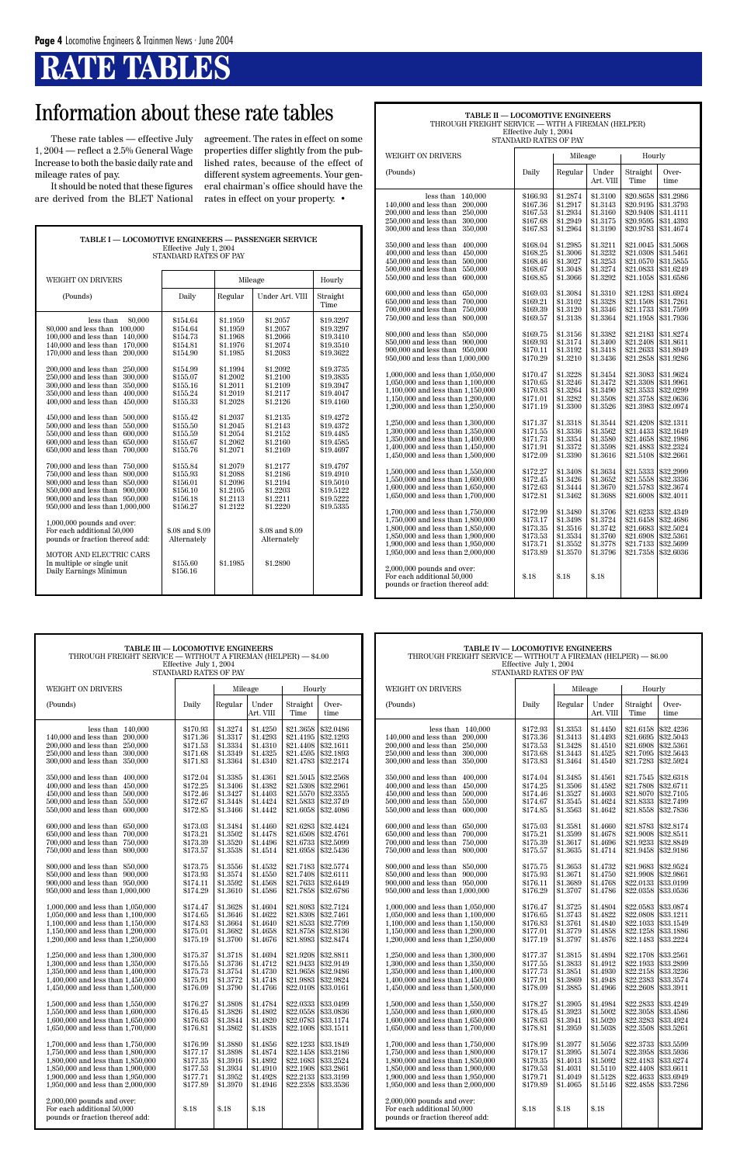# **RATE TABLES**

These rate tables — effective July 1, 2004 — reflect a 2.5% General Wage Increase to both the basic daily rate and mileage rates of pay.

It should be noted that these figures are derived from the BLET National agreement. The rates in effect on some properties differ slightly from the published rates, because of the effect of different system agreements. Your general chairman's office should have the rates in effect on your property. •

| <b>TABLE I — LOCOMOTIVE ENGINEERS — PASSENGER SERVICE</b><br>Effective July 1, 2004<br>STANDARD RATES OF PAY                                                                                                                                                                                                                                                                                                                                                                                                                                                                                                                                                                                                                                                                                                                                                                                                                               |                                                                                                                                                                                                                                                                                                                    |                                                                                                                                                                                                                                                                      |                                                                                                                                                                                                                                                                                                        |                                                                                                                                                                                                                                                                               |  |  |  |  |
|--------------------------------------------------------------------------------------------------------------------------------------------------------------------------------------------------------------------------------------------------------------------------------------------------------------------------------------------------------------------------------------------------------------------------------------------------------------------------------------------------------------------------------------------------------------------------------------------------------------------------------------------------------------------------------------------------------------------------------------------------------------------------------------------------------------------------------------------------------------------------------------------------------------------------------------------|--------------------------------------------------------------------------------------------------------------------------------------------------------------------------------------------------------------------------------------------------------------------------------------------------------------------|----------------------------------------------------------------------------------------------------------------------------------------------------------------------------------------------------------------------------------------------------------------------|--------------------------------------------------------------------------------------------------------------------------------------------------------------------------------------------------------------------------------------------------------------------------------------------------------|-------------------------------------------------------------------------------------------------------------------------------------------------------------------------------------------------------------------------------------------------------------------------------|--|--|--|--|
| WEIGHT ON DRIVERS                                                                                                                                                                                                                                                                                                                                                                                                                                                                                                                                                                                                                                                                                                                                                                                                                                                                                                                          |                                                                                                                                                                                                                                                                                                                    | Mileage                                                                                                                                                                                                                                                              |                                                                                                                                                                                                                                                                                                        | Hourly                                                                                                                                                                                                                                                                        |  |  |  |  |
| (Pounds)                                                                                                                                                                                                                                                                                                                                                                                                                                                                                                                                                                                                                                                                                                                                                                                                                                                                                                                                   | Daily                                                                                                                                                                                                                                                                                                              | Regular                                                                                                                                                                                                                                                              | Under Art. VIII                                                                                                                                                                                                                                                                                        | Straight<br>Time                                                                                                                                                                                                                                                              |  |  |  |  |
| less than<br>80,000<br>80,000 and less than 100,000<br>$100,000$ and less than<br>140,000<br>140,000 and less than 170,000<br>170,000 and less than<br>200,000<br>200,000 and less than<br>250,000<br>250,000 and less than<br>300,000<br>300,000 and less than<br>350,000<br>400,000<br>350,000 and less than<br>400,000 and less than<br>450,000<br>450,000 and less than<br>500,000<br>550,000<br>500,000 and less than<br>600.000<br>550,000 and less than<br>650,000<br>600,000 and less than<br>$650,000$ and less than<br>700,000<br>700,000 and less than<br>750,000<br>800,000<br>750,000 and less than<br>800,000 and less than 850,000<br>850,000 and less than 900,000<br>900,000 and less than 950,000<br>950,000 and less than 1,000,000<br>$1,000,000$ pounds and over:<br>For each additional 50,000<br>pounds or fraction thereof add:<br>MOTOR AND ELECTRIC CARS<br>In multiple or single unit<br>Daily Earnings Minimun | \$154.64<br>\$154.64<br>\$154.73<br>\$154.81<br>\$154.90<br>\$154.99<br>\$155.07<br>\$155.16<br>\$155.24<br>\$155.33<br>\$155.42<br>\$155.50<br>\$155.59<br>\$155.67<br>\$155.76<br>\$155.84<br>\$155.93<br>\$156.01<br>\$156.10<br>\$156.18<br>\$156.27<br>\$.08 and \$.09<br>Alternately<br>\$155.60<br>\$156.16 | \$1.1959<br>\$1.1959<br>\$1.1968<br>\$1.1976<br>\$1.1985<br>\$1.1994<br>\$1.2002<br>\$1.2011<br>\$1.2019<br>\$1.2028<br>\$1.2037<br>\$1.2045<br>\$1.2054<br>\$1.2062<br>\$1.2071<br>\$1.2079<br>\$1.2088<br>\$1.2096<br>\$1.2105<br>\$1.2113<br>\$1.2122<br>\$1.1985 | \$1.2057<br>\$1.2057<br>\$1.2066<br>\$1.2074<br>\$1.2083<br>\$1.2092<br>\$1.2100<br>\$1.2109<br>\$1.2117<br>\$1.2126<br>\$1.2135<br>\$1.2143<br>\$1.2152<br>\$1.2160<br>\$1.2169<br>\$1.2177<br>\$1.2186<br>\$1.2194<br>\$1.2203<br>\$1.2211<br>\$1.2220<br>\$.08 and \$.09<br>Alternately<br>\$1.2890 | \$19.3297<br>\$19.3297<br>\$19.3410<br>\$19.3510<br>\$19.3622<br>\$19.3735<br>\$19.3835<br>\$19.3947<br>\$19.4047<br>\$19.4160<br>\$19.4272<br>\$19.4372<br>\$19.4485<br>\$19.4585<br>\$19.4697<br>\$19.4797<br>\$19.4910<br>\$19.5010<br>\$19.5122<br>\$19.5222<br>\$19.5335 |  |  |  |  |
|                                                                                                                                                                                                                                                                                                                                                                                                                                                                                                                                                                                                                                                                                                                                                                                                                                                                                                                                            |                                                                                                                                                                                                                                                                                                                    |                                                                                                                                                                                                                                                                      |                                                                                                                                                                                                                                                                                                        |                                                                                                                                                                                                                                                                               |  |  |  |  |

### **TABLE II — LOCOMOTIVE ENGINEERS** THROUGH FREIGHT SERVICE — WITH A FIREMAN (HELPER)

| THROUGH FREIGHT SERVICE — WITH A FIREMAN (HELPER)                      |                      |                      |                      |                        |                        |  |  |  |
|------------------------------------------------------------------------|----------------------|----------------------|----------------------|------------------------|------------------------|--|--|--|
| Effective July 1, 2004<br>STANDARD RATES OF PAY                        |                      |                      |                      |                        |                        |  |  |  |
|                                                                        |                      |                      |                      |                        |                        |  |  |  |
| <b>WEIGHT ON DRIVERS</b>                                               |                      | Mileage              |                      | Hourly                 |                        |  |  |  |
|                                                                        |                      |                      |                      |                        |                        |  |  |  |
| (Pounds)                                                               | Daily                | Regular              | Under                | Straight               | Over-                  |  |  |  |
|                                                                        |                      |                      | Art. VIII            | Time                   | time                   |  |  |  |
|                                                                        |                      | \$1.2874             |                      |                        |                        |  |  |  |
| less than<br>140,000<br>140,000 and less than<br>200,000               | \$166.93<br>\$167.36 | \$1.2917             | \$1.3100<br>\$1.3143 | \$20.8658<br>\$20.9195 | \$31.2986<br>\$31.3793 |  |  |  |
| 200,000 and less than<br>250,000                                       | \$167.53             | \$1.2934             | \$1.3160             | \$20.9408              | \$31.4111              |  |  |  |
| 250,000 and less than<br>300,000                                       | \$167.68             | \$1.2949             | \$1.3175             | \$20.9595              | \$31.4393              |  |  |  |
| 300,000 and less than<br>350,000                                       | \$167.83             | \$1.2964             | \$1.3190             | \$20.9783              | \$31.4674              |  |  |  |
|                                                                        |                      |                      |                      |                        |                        |  |  |  |
| 350,000 and less than<br>400,000                                       | \$168.04             | \$1.2985             | \$1.3211             | \$21.0045              | \$31.5068              |  |  |  |
| 400,000 and less than<br>450.000                                       | \$168.25             | \$1.3006             | \$1.3232             | \$21.0308              | \$31.5461              |  |  |  |
| 450,000 and less than<br>500,000                                       | \$168.46             | \$1.3027             | \$1.3253             | \$21.0570              | \$31.5855              |  |  |  |
| 500,000 and less than<br>550,000                                       | \$168.67             | \$1.3048             | \$1.3274             | \$21.0833              | \$31.6249              |  |  |  |
| 550,000 and less than<br>600,000                                       | \$168.85             | \$1.3066             | \$1.3292             | \$21.1058              | \$31.6586              |  |  |  |
| 600,000 and less than<br>650,000                                       | \$169.03             | \$1.3084             | \$1.3310             | \$21.1283              | \$31.6924              |  |  |  |
| 650,000 and less than<br>700,000                                       | \$169.21             | \$1.3102             | \$1.3328             | \$21.1508              | \$31.7261              |  |  |  |
| 700,000 and less than<br>750,000                                       | \$169.39             | \$1.3120             | \$1.3346             | \$21.1733              | \$31.7599              |  |  |  |
| 750,000 and less than<br>800,000                                       | \$169.57             | \$1.3138             | \$1.3364             | \$21.1958              | \$31.7936              |  |  |  |
|                                                                        |                      |                      |                      |                        |                        |  |  |  |
| 800,000 and less than<br>850,000                                       | \$169.75             | \$1.3156             | \$1.3382             | \$21.2183              | \$31.8274              |  |  |  |
| 850,000 and less than 900,000                                          | \$169.93             | \$1.3174             | \$1.3400             | \$21.2408              | \$31.8611              |  |  |  |
| 900,000 and less than 950,000                                          | \$170.11             | \$1.3192             | \$1.3418             | \$21.2633              | \$31.8949              |  |  |  |
| 950,000 and less than 1,000,000                                        | \$170.29             | \$1.3210             | \$1.3436             | \$21.2858              | \$31.9286              |  |  |  |
| 1,000,000 and less than 1,050,000                                      | \$170.47             | \$1.3228             | \$1.3454             | \$21.3083              | \$31.9624              |  |  |  |
| 1,050,000 and less than 1,100,000                                      | \$170.65             | \$1.3246             | \$1.3472             | \$21.3308              | \$31.9961              |  |  |  |
| 1,100,000 and less than 1,150,000                                      | \$170.83             | \$1.3264             | \$1.3490             | \$21.3533              | \$32.0299              |  |  |  |
| 1,150,000 and less than 1,200,000                                      | \$171.01             | \$1.3282             | \$1.3508             | \$21.3758              | \$32.0636              |  |  |  |
| 1,200,000 and less than 1,250,000                                      | \$171.19             | \$1.3300             | \$1.3526             | \$21.3983              | \$32.0974              |  |  |  |
|                                                                        |                      |                      |                      |                        |                        |  |  |  |
| 1,250,000 and less than 1,300,000                                      | \$171.37             | \$1.3318             | \$1.3544             | \$21.4208              | \$32.1311              |  |  |  |
| 1,300,000 and less than 1,350,000                                      | \$171.55             | \$1.3336             | \$1.3562             | \$21.4433              | \$32.1649              |  |  |  |
| 1,350,000 and less than 1,400,000                                      | \$171.73             | \$1.3354<br>\$1.3372 | \$1.3580<br>\$1.3598 | \$21.4658<br>\$21.4883 | \$32.1986              |  |  |  |
| 1,400,000 and less than 1,450,000<br>1,450,000 and less than 1,500,000 | \$171.91<br>\$172.09 | \$1.3390             | \$1.3616             | \$21.5108              | \$32,2324<br>\$32.2661 |  |  |  |
|                                                                        |                      |                      |                      |                        |                        |  |  |  |
| 1,500,000 and less than 1,550,000                                      | \$172.27             | \$1.3408             | \$1.3634             | \$21.5333              | \$32,2999              |  |  |  |
| 1,550,000 and less than 1,600,000                                      | \$172.45             | \$1.3426             | \$1.3652             | \$21.5558              | \$32,3336              |  |  |  |
| 1,600,000 and less than 1,650,000                                      | \$172.63             | \$1.3444             | \$1.3670             | \$21.5783              | \$32.3674              |  |  |  |
| 1,650,000 and less than 1,700,000                                      | \$172.81             | \$1.3462             | \$1.3688             | \$21.6008              | \$32.4011              |  |  |  |
|                                                                        | \$172.99             | \$1.3480             | \$1.3706             | \$21.6233              | \$32.4349              |  |  |  |
| 1,700,000 and less than 1,750,000<br>1,750,000 and less than 1,800,000 | \$173.17             | \$1.3498             | \$1.3724             | \$21.6458              | \$32.4686              |  |  |  |
| 1,800,000 and less than 1,850,000                                      | \$173.35             | \$1.3516             | \$1.3742             | \$21.6683              | \$32.5024              |  |  |  |
| 1,850,000 and less than 1,900,000                                      | \$173.53             | \$1.3534             | \$1.3760             | \$21.6908              | \$32.5361              |  |  |  |
| 1,900,000 and less than 1,950,000                                      | \$173.71             | \$1.3552             | \$1.3778             | \$21.7133              | \$32.5699              |  |  |  |
| 1,950,000 and less than 2,000,000                                      | \$173.89             | \$1.3570             | \$1.3796             | \$21.7358              | \$32.6036              |  |  |  |

2,000,000 pounds and over:

pounds or fraction thereof add:

For each additional  $50,000$   $$.18$   $$.18$   $$.18$ 

| TABLE III — LOCOMOTIVE ENGINEERS                                                                                                                        |                                                          |                                                          | TABLE IV — LOCOMOTIVE ENGINEERS                               |                                                               |                                                               |                   |                                                                                                                                                         |                                                          |                                                          |                                                          |                                                                                      |                                     |
|---------------------------------------------------------------------------------------------------------------------------------------------------------|----------------------------------------------------------|----------------------------------------------------------|---------------------------------------------------------------|---------------------------------------------------------------|---------------------------------------------------------------|-------------------|---------------------------------------------------------------------------------------------------------------------------------------------------------|----------------------------------------------------------|----------------------------------------------------------|----------------------------------------------------------|--------------------------------------------------------------------------------------|-------------------------------------|
| THROUGH FREIGHT SERVICE — WITHOUT A FIREMAN (HELPER) — \$4.00                                                                                           |                                                          |                                                          | THROUGH FREIGHT SERVICE - WITHOUT A FIREMAN (HELPER) - \$6.00 |                                                               |                                                               |                   |                                                                                                                                                         |                                                          |                                                          |                                                          |                                                                                      |                                     |
| Effective July 1, 2004<br>STANDARD RATES OF PAY                                                                                                         |                                                          |                                                          |                                                               | Effective July 1, 2004<br>STANDARD RATES OF PAY               |                                                               |                   |                                                                                                                                                         |                                                          |                                                          |                                                          |                                                                                      |                                     |
| WEIGHT ON DRIVERS                                                                                                                                       |                                                          |                                                          | Mileage<br>Hourly                                             |                                                               |                                                               | WEIGHT ON DRIVERS | Mileage                                                                                                                                                 |                                                          |                                                          | Hourly                                                   |                                                                                      |                                     |
| (Pounds)                                                                                                                                                | Daily                                                    | Regular                                                  | Under<br>Art. VIII                                            | Straight<br>Time                                              | Over-<br>time                                                 |                   | (Pounds)                                                                                                                                                | Daily                                                    | Regular                                                  | Under<br>Art. VIII                                       | Straight<br>Time                                                                     | Over-<br>time                       |
| less than $140,000$<br>140,000 and less than 200,000<br>200,000 and less than 250,000<br>250,000 and less than 300,000<br>300,000 and less than 350,000 | \$170.93<br>\$171.36<br>\$171.53<br>\$171.68<br>\$171.83 | \$1.3274<br>\$1.3317<br>\$1.3334<br>\$1.3349<br>\$1.3364 | \$1.4250<br>\$1.4293<br>\$1.4310<br>\$1.4325<br>\$1.4340      | \$21.3658<br>\$21.4195<br>\$21.4408<br>\$21.4595<br>\$21.4783 | \$32.0486<br>\$32.1293<br>\$32.1611<br>\$32.1893<br>\$32.2174 |                   | less than $140,000$<br>140,000 and less than 200,000<br>200,000 and less than 250,000<br>250,000 and less than 300,000<br>300,000 and less than 350,000 | \$172.93<br>\$173.36<br>\$173.53<br>\$173.68<br>\$173.83 | \$1.3353<br>\$1.3413<br>\$1.3428<br>\$1.3443<br>\$1.3464 | \$1.4450<br>\$1.4493<br>\$1.4510<br>\$1.4525<br>\$1.4540 | \$21.6158<br>\$21.6695<br>\$21.6908 \\$32.5361<br>\$21.7095<br>\$21.7283   \$32.5924 | \$32.4236<br>\$32.5043<br>\$32.5643 |
| 350,000 and less than 400,000                                                                                                                           | \$172.04                                                 | \$1.3385                                                 | \$1.4361                                                      | \$21.5045                                                     | \$32,2568                                                     |                   | 350,000 and less than 400,000                                                                                                                           | \$174.04                                                 | \$1.3485                                                 | \$1.4561                                                 | \$21.7545                                                                            | \$32.6318                           |
| $400,000$ and less than $450,000$                                                                                                                       | \$172.25                                                 | \$1.3406                                                 | \$1.4382                                                      | \$21.5308                                                     | \$32.2961                                                     |                   | 400,000 and less than 450,000                                                                                                                           | \$174.25                                                 | \$1.3506                                                 | \$1.4582                                                 | \$21.7808                                                                            | \$32.6711                           |
| 450,000 and less than 500,000                                                                                                                           | \$172.46                                                 | \$1.3427                                                 | \$1.4403                                                      | \$21.5570                                                     | \$32.3355                                                     |                   | 450,000 and less than 500,000                                                                                                                           | \$174.46                                                 | \$1.3527                                                 | \$1.4603                                                 | \$21.8070                                                                            | \$32.7105                           |
| 500,000 and less than 550,000                                                                                                                           | \$172.67                                                 | \$1.3448                                                 | \$1.4424                                                      | \$21.5833                                                     | \$32.3749                                                     |                   | 500,000 and less than 550,000                                                                                                                           | \$174.67                                                 | \$1.3545                                                 | \$1.4624                                                 | \$21.8333                                                                            | \$32.7499                           |
| 550,000 and less than 600,000                                                                                                                           | \$172.85                                                 | \$1.3466                                                 | \$1.4442                                                      | \$21.6058                                                     | \$32.4086                                                     |                   | 550,000 and less than 600,000                                                                                                                           | \$174.85                                                 | \$1.3563                                                 | \$1.4642                                                 | \$21.8558                                                                            | \$32.7836                           |
| 600,000 and less than 650,000                                                                                                                           | \$173.03                                                 | \$1.3484                                                 | \$1.4460                                                      | \$21.6283                                                     | \$32.4424                                                     |                   | 600,000 and less than 650,000                                                                                                                           | \$175.03                                                 | \$1.3581                                                 | \$1.4660                                                 | \$21.8783                                                                            | \$32.8174                           |
| 650,000 and less than 700,000                                                                                                                           | \$173.21                                                 | \$1.3502                                                 | \$1.4478                                                      | \$21.6508                                                     | \$32.4761                                                     |                   | 650,000 and less than 700,000                                                                                                                           | \$175.21                                                 | \$1.3599                                                 | \$1.4678                                                 | \$21.9008                                                                            | \$32.8511                           |
| 700,000 and less than 750,000                                                                                                                           | \$173.39                                                 | \$1.3520                                                 | \$1.4496                                                      | \$21.6733                                                     | \$32,5099                                                     |                   | 700,000 and less than 750,000                                                                                                                           | \$175.39                                                 | \$1.3617                                                 | \$1.4696                                                 | \$21.9233                                                                            | \$32.8849                           |
| 750,000 and less than 800,000                                                                                                                           | \$173.57                                                 | \$1.3538                                                 | \$1.4514                                                      | \$21.6958                                                     | \$32.5436                                                     |                   | 750,000 and less than 800,000                                                                                                                           | \$175.57                                                 | \$1.3635                                                 | \$1.4714                                                 | \$21.9458                                                                            | \$32.9186                           |
| 800,000 and less than 850,000                                                                                                                           | \$173.75                                                 | \$1.3556                                                 | \$1.4532                                                      | \$21.7183                                                     | \$32.5774                                                     |                   | 800,000 and less than 850,000                                                                                                                           | \$175.75                                                 | \$1.3653                                                 | \$1.4732                                                 | \$21.9683                                                                            | \$32.9524                           |
| 850,000 and less than 900,000                                                                                                                           | \$173.93                                                 | \$1.3574                                                 | \$1.4550                                                      | \$21.7408                                                     | \$32.6111                                                     |                   | 850,000 and less than 900,000                                                                                                                           | \$175.93                                                 | \$1.3671                                                 | \$1.4750                                                 | \$21.9908                                                                            | \$32.9861                           |
| 900,000 and less than 950,000                                                                                                                           | \$174.11                                                 | \$1.3592                                                 | \$1.4568                                                      | \$21.7633                                                     | \$32.6449                                                     |                   | 900,000 and less than 950,000                                                                                                                           | \$176.11                                                 | \$1.3689                                                 | \$1.4768                                                 | \$22.0133                                                                            | \$33,0199                           |
| 950,000 and less than 1,000,000                                                                                                                         | \$174.29                                                 | \$1.3610                                                 | \$1.4586                                                      | \$21.7858                                                     | \$32.6786                                                     |                   | 950,000 and less than 1,000,000                                                                                                                         | \$176.29                                                 | \$1.3707                                                 | \$1.4786                                                 | \$22.0358                                                                            | \$33.0536                           |
| 1,000,000 and less than 1,050,000                                                                                                                       | \$174.47                                                 | \$1.3628                                                 | \$1.4604                                                      | \$21.8083                                                     | \$32.7124                                                     |                   | 1,000,000 and less than 1,050,000                                                                                                                       | \$176.47                                                 | \$1.3725                                                 | \$1.4804                                                 | \$22.0583                                                                            | \$33.0874                           |
| $1.050,000$ and less than $1.100,000$                                                                                                                   | \$174.65                                                 | \$1.3646                                                 | \$1.4622                                                      | \$21.8308                                                     | \$32.7461                                                     |                   | 1,050,000 and less than 1,100,000                                                                                                                       | \$176.65                                                 | \$1.3743                                                 | \$1.4822                                                 | \$22,0808                                                                            | \$33.1211                           |
| $1,100,000$ and less than $1,150,000$                                                                                                                   | \$174.83                                                 | \$1.3664                                                 | \$1.4640                                                      | \$21.8533                                                     | \$32.7799                                                     |                   | 1,100,000 and less than 1,150,000                                                                                                                       | \$176.83                                                 | \$1.3761                                                 | \$1.4840                                                 | \$22.1033                                                                            | \$33.1549                           |
| 1,150,000 and less than $1,200,000$                                                                                                                     | \$175.01                                                 | \$1.3682                                                 | \$1.4658                                                      | \$21.8758                                                     | \$32.8136                                                     |                   | 1,150,000 and less than $1,200,000$                                                                                                                     | \$177.01                                                 | \$1.3779                                                 | \$1.4858                                                 | \$22.1258                                                                            | \$33.1886                           |
| 1,200,000 and less than 1,250,000                                                                                                                       | \$175.19                                                 | \$1.3700                                                 | \$1.4676                                                      | \$21.8983                                                     | \$32.8474                                                     |                   | 1,200,000 and less than 1,250,000                                                                                                                       | \$177.19                                                 | \$1.3797                                                 | \$1.4876                                                 | \$22.1483                                                                            | \$33.2224                           |
| 1,250,000 and less than 1,300,000                                                                                                                       | \$175.37                                                 | \$1.3718                                                 | \$1.4694                                                      | \$21.9208                                                     | \$32.8811                                                     |                   | 1,250,000 and less than 1,300,000                                                                                                                       | \$177.37                                                 | \$1.3815                                                 | \$1.4894                                                 | \$22.1708                                                                            | \$33.2561                           |
| 1,300,000 and less than 1,350,000                                                                                                                       | \$175.55                                                 | \$1.3736                                                 | \$1.4712                                                      | \$21.9433                                                     | \$32.9149                                                     |                   | 1,300,000 and less than 1,350,000                                                                                                                       | \$177.55                                                 | \$1.3833                                                 | \$1.4912                                                 | \$22.1933                                                                            | \$33,2899                           |
| 1,350,000 and less than 1,400,000                                                                                                                       | \$175.73                                                 | \$1.3754                                                 | \$1.4730                                                      | \$21.9658                                                     | \$32.9486                                                     |                   | 1,350,000 and less than 1,400,000                                                                                                                       | \$177.73                                                 | \$1.3851                                                 | \$1.4930                                                 | \$22.2158                                                                            | \$33.3236                           |
| 1,400,000 and less than 1,450,000                                                                                                                       | \$175.91                                                 | \$1.3772                                                 | \$1.4748                                                      | \$21.9883                                                     | \$32.9824                                                     |                   | 1,400,000 and less than 1,450,000                                                                                                                       | \$177.91                                                 | \$1.3869                                                 | \$1.4948                                                 | \$22.2383                                                                            | \$33,3574                           |
| 1,450,000 and less than 1,500,000                                                                                                                       | \$176.09                                                 | \$1.3790                                                 | \$1.4766                                                      | \$22.0108                                                     | \$33.0161                                                     |                   | 1,450,000 and less than 1,500,000                                                                                                                       | \$178.09                                                 | \$1.3885                                                 | \$1.4966                                                 | \$22,2608                                                                            | \$33.3911                           |
| 1,500,000 and less than 1,550,000                                                                                                                       | \$176.27                                                 | \$1.3808                                                 | \$1.4784                                                      | \$22.0333                                                     | \$33.0499                                                     |                   | 1,500,000 and less than 1,550,000                                                                                                                       | \$178.27                                                 | \$1.3905                                                 | \$1.4984                                                 | \$22,2833                                                                            | \$33.4249                           |
| 1,550,000 and less than 1,600,000                                                                                                                       | \$176.45                                                 | \$1.3826                                                 | \$1.4802                                                      | \$22.0558                                                     | \$33.0836                                                     |                   | 1,550,000 and less than 1,600,000                                                                                                                       | \$178.45                                                 | \$1.3923                                                 | \$1.5002                                                 | \$22.3058                                                                            | \$33.4586                           |
| 1,600,000 and less than 1,650,000                                                                                                                       | \$176.63                                                 | \$1.3844                                                 | \$1.4820                                                      | \$22.0783                                                     | \$33.1174                                                     |                   | 1,600,000 and less than 1,650,000                                                                                                                       | \$178.63                                                 | \$1.3941                                                 | \$1.5020                                                 | \$22.3283                                                                            | \$33.4924                           |
| 1,650,000 and less than 1,700,000                                                                                                                       | \$176.81                                                 | \$1.3862                                                 | \$1.4838                                                      | \$22.1008                                                     | \$33.1511                                                     |                   | 1,650,000 and less than 1,700,000                                                                                                                       | \$178.81                                                 | \$1.3959                                                 | \$1.5038                                                 | \$22.3508                                                                            | \$33.5261                           |
| 1.700,000 and less than 1.750,000                                                                                                                       | \$176.99                                                 | \$1.3880                                                 | \$1.4856                                                      | \$22.1233                                                     | \$33.1849                                                     |                   | 1.700,000 and less than 1.750,000                                                                                                                       | \$178.99                                                 | \$1.3977                                                 | \$1.5056                                                 | \$22.3733                                                                            | \$33.5599                           |
| 1,750,000 and less than 1,800,000                                                                                                                       | \$177.17                                                 | \$1.3898                                                 | \$1.4874                                                      | \$22.1458                                                     | \$33.2186                                                     |                   | 1,750,000 and less than 1,800,000                                                                                                                       | \$179.17                                                 | \$1.3995                                                 | \$1.5074                                                 | \$22.3958                                                                            | \$33.5936                           |
| 1,800,000 and less than 1,850,000                                                                                                                       | \$177.35                                                 | \$1.3916                                                 | \$1.4892                                                      | \$22.1683                                                     | \$33.2524                                                     |                   | 1,800,000 and less than 1,850,000                                                                                                                       | \$179.35                                                 | \$1.4013                                                 | \$1.5092                                                 | \$22.4183                                                                            | \$33.6274                           |
| 1,850,000 and less than 1,900,000                                                                                                                       | \$177.53                                                 | \$1.3934                                                 | \$1.4910                                                      | \$22.1908                                                     | \$33.2861                                                     |                   | 1,850,000 and less than 1,900,000                                                                                                                       | \$179.53                                                 | \$1.4031                                                 | \$1.5110                                                 | \$22.4408                                                                            | \$33.6611                           |
| 1,900,000 and less than 1,950,000                                                                                                                       | \$177.71                                                 | \$1.3952                                                 | \$1.4928                                                      | \$22.2133                                                     | \$33.3199                                                     |                   | 1,900,000 and less than 1,950,000                                                                                                                       | \$179.71                                                 | \$1.4049                                                 | \$1.5128                                                 | \$22.4633                                                                            | \$33.6949                           |
| 1,950,000 and less than 2,000,000                                                                                                                       | \$177.89                                                 | \$1.3970                                                 | \$1.4946                                                      | \$22,2358                                                     | \$33.3536                                                     |                   | 1,950,000 and less than 2,000,000                                                                                                                       | \$179.89                                                 | \$1.4065                                                 | \$1.5146                                                 | \$22.4858                                                                            | \$33.7286                           |
| $2,000,000$ pounds and over:<br>For each additional 50,000<br>pounds or fraction thereof add:                                                           | \$.18                                                    | \$.18                                                    | \$.18                                                         |                                                               |                                                               |                   | $2,000,000$ pounds and over:<br>For each additional 50,000<br>pounds or fraction thereof add:                                                           | \$.18                                                    | \$.18                                                    | \$.18                                                    |                                                                                      |                                     |

| <b>TABLE III - LOCOMOTIVE ENGINEERS</b><br>THROUGH FREIGHT SERVICE - WITHOUT A FIREMAN (HELPER) - \$4.00                                                                                                                   | Effective July 1, 2004<br>STANDARD RATES OF PAY                      |                                                                      |                                                                      |                                                                                   |                                                                            | TABLE IV - LOCOMOTIVE ENGINEERS<br>THROUGH FREIGHT SERVICE — WITHOUT A FIREMAN (HELPER) — \$6.00                                                                                                                           | Effective July 1, 2004<br>STANDARD RATES OF PAY                      |                                                                      |                                                                      |                                                                            |                                                                            |
|----------------------------------------------------------------------------------------------------------------------------------------------------------------------------------------------------------------------------|----------------------------------------------------------------------|----------------------------------------------------------------------|----------------------------------------------------------------------|-----------------------------------------------------------------------------------|----------------------------------------------------------------------------|----------------------------------------------------------------------------------------------------------------------------------------------------------------------------------------------------------------------------|----------------------------------------------------------------------|----------------------------------------------------------------------|----------------------------------------------------------------------|----------------------------------------------------------------------------|----------------------------------------------------------------------------|
| <b>WEIGHT ON DRIVERS</b>                                                                                                                                                                                                   |                                                                      | Mileage                                                              |                                                                      | Hourly                                                                            |                                                                            | <b>WEIGHT ON DRIVERS</b>                                                                                                                                                                                                   |                                                                      | Mileage                                                              |                                                                      | Hourly                                                                     |                                                                            |
| (Pounds)                                                                                                                                                                                                                   | Daily                                                                | Regular                                                              | Under<br>Art. VIII                                                   | Straight<br>Time                                                                  | Over-<br>time                                                              | (Pounds)                                                                                                                                                                                                                   | Daily                                                                | Regular                                                              | Under<br>Art. VIII                                                   | Straight<br>Time                                                           | Over-<br>time                                                              |
| less than 140,000<br>140,000 and less than 200,000<br>200,000 and less than 250,000<br>250,000 and less than 300,000<br>300,000 and less than 350,000                                                                      | \$170.93<br>\$171.36<br>\$171.53<br>\$171.68<br>\$171.83             | \$1.3274<br>\$1.3317<br>\$1.3334<br>\$1.3349<br>\$1.3364             | \$1.4250<br>\$1.4293<br>\$1.4310<br>\$1.4325<br>\$1.4340             | \$21.3658<br>\$21.4195<br>\$21.4408<br>\$21.4595<br>\$21.4783 \\$32,2174          | \$32.0486<br>\$32.1293<br>\$32.1611<br>\$32,1893                           | less than $140,000$<br>140,000 and less than 200,000<br>200,000 and less than 250,000<br>250,000 and less than 300,000<br>300,000 and less than 350,000                                                                    | \$172.93<br>\$173.36<br>\$173.53<br>\$173.68<br>\$173.83             | \$1.3353<br>\$1.3413<br>\$1.3428<br>\$1.3443<br>\$1.3464             | \$1.4450<br>\$1.4493<br>\$1.4510<br>\$1.4525<br>\$1.4540             | \$21.6158<br>\$21.6695<br>\$21.6908<br>\$21.7095<br>\$21.7283              | \$32.4236<br>\$32.5043<br>\$32,5361<br>\$32.5643<br>\$32.5924              |
| 350,000 and less than 400,000<br>400,000 and less than 450,000<br>450,000 and less than 500,000<br>500,000 and less than 550,000<br>550,000 and less than 600,000                                                          | \$172.04<br>\$172.25<br>\$172.46<br>\$172.67<br>\$172.85             | \$1.3385<br>\$1.3406<br>\$1.3427<br>\$1.3448<br>\$1.3466             | \$1.4361<br>\$1.4382<br>\$1.4403<br>\$1.4424<br>\$1.4442             | \$21.5045<br>\$21.5308<br>\$21.5570<br>\$21.5833<br>\$21.6058                     | \$32.2568<br>\$32.2961<br>\$32.3355<br>\$32.3749<br>\$32.4086              | 350,000 and less than 400,000<br>$400.000$ and less than $450.000$<br>450,000 and less than 500,000<br>500,000 and less than 550,000<br>550,000 and less than 600,000                                                      | \$174.04<br>\$174.25<br>\$174.46<br>\$174.67<br>\$174.85             | \$1.3485<br>\$1.3506<br>\$1.3527<br>\$1.3545<br>\$1.3563             | \$1.4561<br>\$1.4582<br>\$1.4603<br>\$1.4624<br>\$1.4642             | \$21.7545<br>\$21.7808<br>\$21.8070<br>\$21.8333<br>\$21.8558              | \$32.6318<br>\$32.6711<br>\$32.7105<br>\$32.7499<br>\$32.7836              |
| 600,000 and less than 650,000<br>650,000 and less than 700,000<br>700,000 and less than 750,000<br>750,000 and less than 800,000                                                                                           | \$173.03<br>\$173.21<br>\$173.39<br>\$173.57                         | \$1.3484<br>\$1.3502<br>\$1.3520<br>\$1.3538                         | \$1.4460<br>\$1.4478<br>\$1.4496<br>\$1.4514                         | \$21.6283<br>$$21.6508$ \\$32.4761<br>\$21.6733<br>\$21.6958                      | \$32.4424<br>\$32.5099<br>\$32.5436                                        | 600,000 and less than 650,000<br>650,000 and less than 700,000<br>700,000 and less than 750,000<br>750,000 and less than 800,000                                                                                           | \$175.03<br>\$175.21<br>\$175.39<br>\$175.57                         | \$1.3581<br>\$1.3599<br>\$1.3617<br>\$1.3635                         | \$1.4660<br>\$1.4678<br>\$1.4696<br>\$1.4714                         | \$21.8783<br>\$21.9008<br>\$21.9233<br>\$21.9458                           | \$32.8174<br>\$32.8511<br>\$32.8849<br>\$32.9186                           |
| 800,000 and less than 850,000<br>850,000 and less than 900,000<br>900,000 and less than 950,000<br>950,000 and less than 1,000,000                                                                                         | \$173.75<br>\$173.93<br>\$174.11<br>\$174.29                         | \$1.3556<br>\$1.3574<br>\$1.3592<br>\$1.3610                         | \$1.4532<br>\$1.4550<br>\$1.4568<br>\$1.4586                         | \$21.7183<br>\$21.7408<br>\$21.7633<br>\$21.7858 \\$32.6786                       | \$32.5774<br>\$32.6111<br>\$32.6449                                        | 800,000 and less than 850,000<br>850,000 and less than 900,000<br>900,000 and less than 950,000<br>950,000 and less than 1,000,000                                                                                         | \$175.75<br>\$175.93<br>\$176.11<br>\$176.29                         | \$1.3653<br>\$1.3671<br>\$1.3689<br>\$1.3707                         | \$1.4732<br>\$1.4750<br>\$1.4768<br>\$1.4786                         | \$21.9683<br>\$21.9908<br>\$22.0133<br>\$22.0358                           | \$32.9524<br> \$32.9861<br>\$33.0199<br>\$33.0536                          |
| 1,000,000 and less than 1,050,000<br>$1.050,000$ and less than $1.100,000$<br>$1.100,000$ and less than $1.150,000$<br>1,150,000 and less than 1,200,000<br>1,200,000 and less than 1,250,000                              | \$174.47<br>\$174.65<br>\$174.83<br>\$175.01<br>\$175.19             | \$1.3628<br>\$1.3646<br>\$1.3664<br>\$1.3682<br>\$1.3700             | \$1.4604<br>\$1.4622<br>\$1.4640<br>\$1.4658<br>\$1.4676             | \$21.8083<br>\$21.8308<br>\$21.8533<br>\$21.8758<br>\$21.8983                     | \$32,7124<br>\$32.7461<br>\$32.7799<br>\$32.8136<br>\$32.8474              | 1,000,000 and less than 1,050,000<br>1,050,000 and less than 1,100,000<br>1,100,000 and less than 1,150,000<br>1,150,000 and less than 1,200,000<br>1,200,000 and less than 1,250,000                                      | \$176.47<br>\$176.65<br>\$176.83<br>\$177.01<br>\$177.19             | \$1.3725<br>\$1.3743<br>\$1.3761<br>\$1.3779<br>\$1.3797             | \$1.4804<br>\$1.4822<br>\$1.4840<br>\$1.4858<br>\$1.4876             | \$22.0583<br>\$22.0808<br>\$22.1033<br>\$22.1258<br>\$22.1483              | \$33,0874<br>\$33.1211<br>\$33.1549<br>\$33.1886<br>\$33.2224              |
| 1,250,000 and less than 1,300,000<br>1,300,000 and less than 1,350,000<br>1,350,000 and less than 1,400,000<br>1,400,000 and less than 1,450,000<br>1,450,000 and less than 1,500,000                                      | \$175.37<br>\$175.55<br>\$175.73<br>\$175.91<br>\$176.09             | \$1.3718<br>\$1.3736<br>\$1.3754<br>\$1.3772<br>\$1.3790             | \$1.4694<br>\$1.4712<br>\$1.4730<br>\$1.4748<br>\$1.4766             | \$21.9208<br>\$21.9433<br>\$21.9658 \$32.9486<br>\$21.9883<br>\$22.0108 \$33.0161 | \$32.8811<br>\$32.9149<br>\$32.9824                                        | 1,250,000 and less than 1,300,000<br>1,300,000 and less than 1,350,000<br>1,350,000 and less than 1,400,000<br>1,400,000 and less than 1,450,000<br>1,450,000 and less than 1,500,000                                      | \$177.37<br>\$177.55<br>\$177.73<br>\$177.91<br>\$178.09             | \$1.3815<br>\$1.3833<br>\$1.3851<br>\$1.3869<br>\$1.3885             | \$1.4894<br>\$1.4912<br>\$1.4930<br>\$1.4948<br>\$1.4966             | \$22.1708<br>\$22.1933<br>\$22.2158<br>\$22.2383<br>\$22.2608              | \$33.2561<br>\$33.2899<br>\$33.3236<br>\$33.3574<br>\$33.3911              |
| 1,500,000 and less than 1,550,000<br>1,550,000 and less than 1,600,000<br>1,600,000 and less than 1,650,000<br>1,650,000 and less than 1,700,000                                                                           | \$176.27<br>\$176.45<br>\$176.63<br>\$176.81                         | \$1.3808<br>\$1.3826<br>\$1.3844<br>\$1.3862                         | \$1.4784<br>\$1.4802<br>\$1.4820<br>\$1.4838                         | \$22.0333<br>\$22.0558<br>\$22.0783<br>\$22,1008                                  | \$33.0499<br>\$33.0836<br>\$33.1174<br>\$33.1511                           | 1,500,000 and less than 1,550,000<br>1.550,000 and less than 1.600,000<br>1,600,000 and less than 1,650,000<br>1.650,000 and less than 1.700,000                                                                           | \$178.27<br>\$178.45<br>\$178.63<br>\$178.81                         | \$1.3905<br>\$1.3923<br>\$1.3941<br>\$1.3959                         | \$1.4984<br>\$1.5002<br>\$1.5020<br>\$1.5038                         | \$22.2833<br>\$22.3058<br>\$22.3283<br>\$22.3508                           | \$33.4249<br>\$33.4586<br>\$33.4924<br>\$33.5261                           |
| 1,700,000 and less than 1,750,000<br>1.750,000 and less than 1.800,000<br>1,800,000 and less than 1,850,000<br>1,850,000 and less than 1,900,000<br>1,900,000 and less than 1,950,000<br>1,950,000 and less than 2,000,000 | \$176.99<br>\$177.17<br>\$177.35<br>\$177.53<br>\$177.71<br>\$177.89 | \$1.3880<br>\$1.3898<br>\$1.3916<br>\$1.3934<br>\$1.3952<br>\$1.3970 | \$1.4856<br>\$1.4874<br>\$1.4892<br>\$1.4910<br>\$1.4928<br>\$1.4946 | \$22.1233<br>\$22.1458<br>\$22.1683<br>\$22.1908<br>\$22,2133<br>\$22,2358        | \$33.1849<br>\$33.2186<br>\$33.2524<br>\$33.2861<br>\$33.3199<br>\$33.3536 | 1,700,000 and less than 1,750,000<br>1.750,000 and less than 1.800,000<br>1.800,000 and less than 1.850,000<br>1,850,000 and less than 1,900,000<br>1,900,000 and less than 1,950,000<br>1,950,000 and less than 2,000,000 | \$178.99<br>\$179.17<br>\$179.35<br>\$179.53<br>\$179.71<br>\$179.89 | \$1.3977<br>\$1.3995<br>\$1.4013<br>\$1.4031<br>\$1.4049<br>\$1.4065 | \$1.5056<br>\$1.5074<br>\$1.5092<br>\$1.5110<br>\$1.5128<br>\$1.5146 | \$22.3733<br>\$22.3958<br>\$22.4183<br>\$22.4408<br>\$22.4633<br>\$22.4858 | \$33,5599<br>\$33.5936<br>\$33.6274<br>\$33.6611<br>\$33.6949<br>\$33.7286 |
| $2,000,000$ pounds and over:<br>For each additional 50,000<br>pounds or fraction thereof add:                                                                                                                              | \$.18                                                                | \$.18                                                                | \$.18                                                                |                                                                                   |                                                                            | $2,000,000$ pounds and over:<br>For each additional 50,000<br>pounds or fraction thereof add:                                                                                                                              | \$.18                                                                | \$.18                                                                | \$.18                                                                |                                                                            |                                                                            |

### Information about these rate tables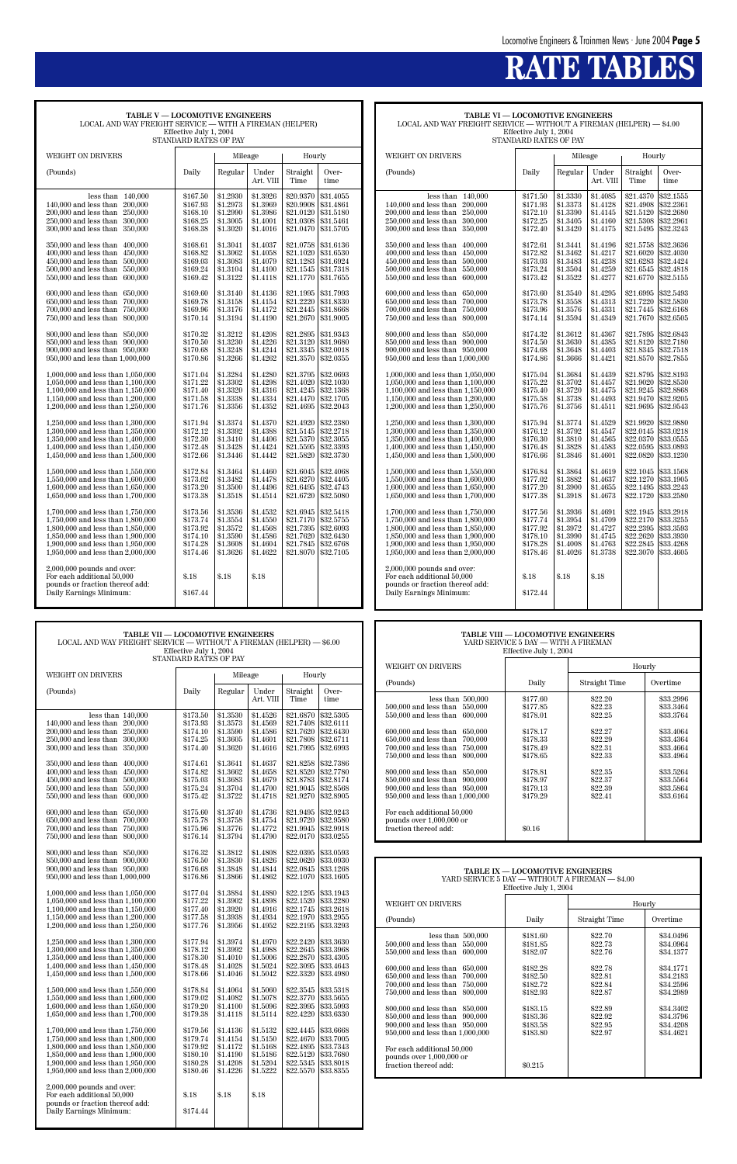# **RATE TABLES**

| TABLE V-LOCOMOTIVE ENGINEERS<br>LOCAL AND WAY FREIGHT SERVICE — WITH A FIREMAN (HELPER)                                                                                                                                                                                                                                                                                                                                                                                                                                                                                                                                                                                                                                                                                                                     | Effective July 1, 2004<br>STANDARD RATES OF PAY                                                                                                                                                                                                                      |                                                                                                                                                                                                                                                                      |                                                                                                                                                                                                                                                                      |                                                                                                                                                                                                                                                                                            |                                                                                                                                                                                                                                                                                            |
|-------------------------------------------------------------------------------------------------------------------------------------------------------------------------------------------------------------------------------------------------------------------------------------------------------------------------------------------------------------------------------------------------------------------------------------------------------------------------------------------------------------------------------------------------------------------------------------------------------------------------------------------------------------------------------------------------------------------------------------------------------------------------------------------------------------|----------------------------------------------------------------------------------------------------------------------------------------------------------------------------------------------------------------------------------------------------------------------|----------------------------------------------------------------------------------------------------------------------------------------------------------------------------------------------------------------------------------------------------------------------|----------------------------------------------------------------------------------------------------------------------------------------------------------------------------------------------------------------------------------------------------------------------|--------------------------------------------------------------------------------------------------------------------------------------------------------------------------------------------------------------------------------------------------------------------------------------------|--------------------------------------------------------------------------------------------------------------------------------------------------------------------------------------------------------------------------------------------------------------------------------------------|
| <b>WEIGHT ON DRIVERS</b>                                                                                                                                                                                                                                                                                                                                                                                                                                                                                                                                                                                                                                                                                                                                                                                    |                                                                                                                                                                                                                                                                      | Mileage                                                                                                                                                                                                                                                              |                                                                                                                                                                                                                                                                      | Hourly                                                                                                                                                                                                                                                                                     |                                                                                                                                                                                                                                                                                            |
| (Pounds)                                                                                                                                                                                                                                                                                                                                                                                                                                                                                                                                                                                                                                                                                                                                                                                                    | Daily                                                                                                                                                                                                                                                                | Regular                                                                                                                                                                                                                                                              | Under<br>Art. VIII                                                                                                                                                                                                                                                   | Straight<br>Time                                                                                                                                                                                                                                                                           | Over-<br>time                                                                                                                                                                                                                                                                              |
| less than<br>140,000<br>140,000 and less than<br>200,000<br>200,000 and less than<br>250,000<br>250,000 and less than<br>300,000<br>300,000 and less than<br>350,000<br>350,000 and less than<br>400,000<br>400,000 and less than<br>450,000<br>450,000 and less than<br>500,000<br>500,000 and less than<br>550,000<br>550,000 and less than<br>600,000<br>600,000 and less than<br>650,000<br>650,000 and less than<br>700,000<br>700,000 and less than<br>750,000<br>750,000 and less than<br>800,000<br>800,000 and less than<br>850,000<br>850,000 and less than<br>900,000<br>900,000 and less than<br>950,000<br>950,000 and less than 1,000,000<br>1,000,000 and less than 1,050,000<br>1,050,000 and less than 1,100,000<br>1,100,000 and less than 1,150,000<br>1,150,000 and less than 1,200,000 | \$167.50<br>\$167.93<br>\$168.10<br>\$168.25<br>\$168.38<br>\$168.61<br>\$168.82<br>\$169.03<br>\$169.24<br>\$169.42<br>\$169.60<br>\$169.78<br>\$169.96<br>\$170.14<br>\$170.32<br>\$170.50<br>\$170.68<br>\$170.86<br>\$171.04<br>\$171.22<br>\$171.40<br>\$171.58 | \$1.2930<br>\$1.2973<br>\$1.2990<br>\$1.3005<br>\$1.3020<br>\$1.3041<br>\$1.3062<br>\$1.3083<br>\$1.3104<br>\$1.3122<br>\$1.3140<br>\$1.3158<br>\$1.3176<br>\$1.3194<br>\$1.3212<br>\$1.3230<br>\$1.3248<br>\$1.3266<br>\$1.3284<br>\$1.3302<br>\$1.3320<br>\$1.3338 | \$1.3926<br>\$1.3969<br>\$1.3986<br>\$1.4001<br>\$1.4016<br>\$1.4037<br>\$1.4058<br>\$1.4079<br>\$1.4100<br>\$1.4118<br>\$1.4136<br>\$1.4154<br>\$1.4172<br>\$1.4190<br>\$1.4208<br>\$1.4226<br>\$1.4244<br>\$1.4262<br>\$1.4280<br>\$1.4298<br>\$1.4316<br>\$1.4334 | \$20.9370<br>\$20.9908<br>\$21.0120<br>\$21.0308<br>\$21.0470<br>\$21.0758<br>\$21.1020<br>\$21.1283<br>\$21.1545<br>\$21.1770<br>\$21.1995<br>\$21.2220<br>\$21.2445<br>\$21.2670<br>\$21.2895<br>\$21.3120<br>\$21.3345<br>\$21.3570<br>\$21.3795<br>\$21.4020<br>\$21.4245<br>\$21.4470 | \$31.4055<br>\$31.4861<br>\$31.5180<br>\$31.5461<br>\$31.5705<br>\$31.6136<br>\$31.6530<br>\$31.6924<br>\$31.7318<br>\$31.7655<br>\$31.7993<br>\$31.8330<br>\$31.8668<br>\$31.9005<br>\$31.9343<br>\$31.9680<br>\$32.0018<br>\$32.0355<br>\$32.0693<br>\$32.1030<br>\$32.1368<br>\$32.1705 |
| 1,200,000 and less than 1,250,000<br>1,250,000 and less than 1,300,000<br>1,300,000 and less than 1,350,000<br>1,350,000 and less than 1,400,000<br>1,400,000 and less than 1,450,000<br>1,450,000 and less than 1,500,000<br>1,500,000 and less than 1,550,000<br>1,550,000 and less than 1,600,000<br>1,600,000 and less than 1,650,000<br>1,650,000 and less than 1,700,000<br>1,700,000 and less than 1,750,000<br>1,750,000 and less than 1,800,000<br>1,800,000 and less than 1,850,000<br>1,850,000 and less than 1,900,000<br>1,900,000 and less than 1,950,000<br>1,950,000 and less than 2,000,000<br>$2,000,000$ pounds and over:<br>For each additional 50,000<br>pounds or fraction thereof add:<br>Daily Earnings Minimum:                                                                    | \$171.76<br>\$171.94<br>\$172.12<br>\$172.30<br>\$172.48<br>\$172.66<br>\$172.84<br>\$173.02<br>\$173.20<br>\$173.38<br>\$173.56<br>\$173.74<br>\$173.92<br>\$174.10<br>\$174.28<br>\$174.46<br>\$.18<br>\$167.44                                                    | \$1.3356<br>\$1.3374<br>\$1.3392<br>\$1.3410<br>\$1.3428<br>\$1.3446<br>\$1.3464<br>\$1.3482<br>\$1.3500<br>\$1.3518<br>$\$1.3536$<br>\$1.3554<br>\$1.3572<br>\$1.3590<br>\$1.3608<br>\$1.3626<br>\$.18                                                              | \$1.4352<br>\$1.4370<br>\$1.4388<br>\$1.4406<br>\$1.4424<br>\$1.4442<br>\$1.4460<br>\$1.4478<br>\$1.4496<br>\$1.4514<br>\$1.4532<br>\$1.4550<br>\$1.4568<br>\$1.4586<br>\$1.4604<br>\$1.4622<br>\$.18                                                                | \$21.4695<br>\$21.4920<br>\$21.5145<br>\$21.5370<br>\$21.5595<br>\$21.5820<br>\$21.6045<br>\$21.6270<br>\$21.6495<br>\$21.6720<br>\$21.6945<br>\$21.7170<br>\$21.7395<br>\$21.7620<br>\$21.7845<br>\$21.8070                                                                               | \$32.2043<br>\$32,2380<br>\$32.2718<br>\$32.3055<br>\$32.3393<br>\$32,3730<br>\$32.4068<br>\$32.4405<br>\$32.4743<br>\$32.5080<br>\$32.5418<br>\$32.5755<br>\$32.6093<br>\$32.6430<br>\$32.6768<br>\$32.7105                                                                               |

**TABLE VI — LOCOMOTIVE ENGINEERS** LOCAL AND WAY FREIGHT SERVICE — WITHOUT A FIREMAN (HELPER) — \$4.00 Effective July 1, 2004 STANDARD RATES OF PAY

| WEIGHT ON DRIVERS                                                                                                                                                                                                          |                                                                      | Mileage                                                              |                                                                      | Hourly                                                                     |                                                                            |
|----------------------------------------------------------------------------------------------------------------------------------------------------------------------------------------------------------------------------|----------------------------------------------------------------------|----------------------------------------------------------------------|----------------------------------------------------------------------|----------------------------------------------------------------------------|----------------------------------------------------------------------------|
| (Pounds)                                                                                                                                                                                                                   | Daily                                                                | Regular                                                              | Under<br>Art. VIII                                                   | Straight<br>Time                                                           | Over-<br>time                                                              |
| less than<br>140,000<br>$140,000$ and less than<br>200,000<br>200,000 and less than<br>250,000<br>250,000 and less than<br>300,000<br>300,000 and less than<br>350,000                                                     | \$171.50<br>\$171.93<br>\$172.10<br>\$172.25<br>\$172.40             | \$1.3330<br>\$1.3373<br>\$1.3390<br>\$1.3405<br>\$1.3420             | \$1.4085<br>\$1.4128<br>\$1.4145<br>\$1.4160<br>\$1.4175             | \$21.4370<br>\$21.4908<br>\$21.5120<br>\$21.5308<br>\$21.5495              | \$32.1555<br>\$32,2361<br>\$32.2680<br>\$32.2961<br>\$32.3243              |
| 350,000 and less than<br>400,000<br>400,000 and less than<br>450,000<br>450,000 and less than<br>500,000<br>500,000 and less than<br>550,000<br>550,000 and less than<br>600,000                                           | \$172.61<br>\$172.82<br>\$173.03<br>\$173.24<br>\$173.42             | \$1.3441<br>\$1.3462<br>\$1.3483<br>\$1.3504<br>\$1.3522             | \$1.4196<br>\$1.4217<br>\$1.4238<br>\$1.4259<br>\$1.4277             | \$21.5758<br>\$21.6020<br>\$21.6283<br>\$21.6545<br>\$21.6770              | \$32.3636<br>\$32.4030<br>\$32.4424<br>\$32.4818<br>\$32.5155              |
| 600,000 and less than<br>650,000<br>650,000 and less than<br>700,000<br>700,000 and less than<br>750,000<br>750,000 and less than<br>800,000                                                                               | \$173.60<br>\$173.78<br>\$173.96<br>\$174.14                         | \$1.3540<br>\$1.3558<br>\$1.3576<br>\$1.3594                         | \$1.4295<br>\$1.4313<br>\$1.4331<br>\$1.4349                         | \$21.6995<br>\$21.7220<br>\$21.7445<br>\$21.7670                           | \$32.5493<br>\$32.5830<br>\$32.6168<br>\$32.6505                           |
| 800,000 and less than<br>850,000<br>850,000 and less than<br>900,000<br>900,000 and less than 950,000<br>950,000 and less than 1,000,000                                                                                   | \$174.32<br>\$174.50<br>\$174.68<br>\$174.86                         | \$1.3612<br>\$1.3630<br>\$1.3648<br>\$1.3666                         | \$1.4367<br>\$1.4385<br>\$1.4403<br>\$1.4421                         | \$21.7895<br>\$21.8120<br>\$21.8345<br>\$21.8570                           | \$32.6843<br>\$32.7180<br>\$32.7518<br>\$32.7855                           |
| 1,000,000 and less than 1,050,000<br>1,050,000 and less than 1,100,000<br>1,100,000 and less than 1,150,000<br>1,150,000 and less than 1,200,000<br>1,200,000 and less than 1,250,000                                      | \$175.04<br>\$175.22<br>\$175.40<br>\$175.58<br>\$175.76             | \$1.3684<br>\$1.3702<br>\$1.3720<br>\$1.3738<br>\$1.3756             | \$1.4439<br>\$1.4457<br>\$1.4475<br>\$1.4493<br>\$1.4511             | \$21.8795<br>\$21.9020<br>\$21.9245<br>\$21.9470<br>\$21.9695              | \$32.8193<br>\$32.8530<br>\$32.8868<br>\$32.9205<br>\$32.9543              |
| 1,250,000 and less than 1,300,000<br>1,300,000 and less than 1,350,000<br>1,350,000 and less than 1,400,000<br>1,400,000 and less than 1,450,000<br>1,450,000 and less than 1,500,000                                      | \$175.94<br>\$176.12<br>\$176.30<br>\$176.48<br>\$176.66             | \$1.3774<br>\$1.3792<br>\$1.3810<br>\$1.3828<br>\$1.3846             | \$1.4529<br>\$1.4547<br>\$1.4565<br>\$1.4583<br>\$1.4601             | \$21.9920<br>\$22.0145<br>\$22.0370<br>\$22.0595<br>\$22.0820              | \$32.9880<br>\$33.0218<br>\$33.0555<br>\$33.0893<br>\$33.1230              |
| 1,500,000 and less than 1,550,000<br>1.550,000 and less than 1.600,000<br>$1,600,000$ and less than $1,650,000$<br>1,650,000 and less than 1,700,000                                                                       | \$176.84<br>\$177.02<br>\$177.20<br>\$177.38                         | \$1.3864<br>\$1.3882<br>\$1.3900<br>\$1.3918                         | \$1.4619<br>\$1.4637<br>\$1.4655<br>\$1.4673                         | \$22.1045<br>\$22.1270<br>\$22.1495<br>\$22.1720                           | \$33.1568<br>\$33.1905<br>\$33.2243<br>\$33.2580                           |
| 1,700,000 and less than 1,750,000<br>1,750,000 and less than 1,800,000<br>1,800,000 and less than 1,850,000<br>1,850,000 and less than 1,900,000<br>1,900,000 and less than 1,950,000<br>1,950,000 and less than 2,000,000 | \$177.56<br>\$177.74<br>\$177.92<br>\$178.10<br>\$178.28<br>\$178.46 | \$1.3936<br>\$1.3954<br>\$1.3972<br>\$1.3990<br>\$1.4008<br>\$1.4026 | \$1.4691<br>\$1.4709<br>\$1.4727<br>\$1.4745<br>\$1.4763<br>\$1.3738 | \$22.1945<br>\$22,2170<br>\$22.2395<br>\$22.2620<br>\$22.2845<br>\$22,3070 | \$33.2918<br>\$33.3255<br>\$33.3593<br>\$33.3930<br>\$33.4268<br>\$33.4605 |
| $2,000,000$ pounds and over:<br>For each additional 50,000<br>pounds or fraction thereof add:<br>Daily Earnings Minimum:                                                                                                   | $\$.18$<br>\$172.44                                                  | \$.18                                                                | \$.18                                                                |                                                                            |                                                                            |

| <b>TABLE VII - LOCOMOTIVE ENGINEERS</b><br>LOCAL AND WAY FREIGHT SERVICE — WITHOUT A FIREMAN (HELPER) — \$6.00<br>Effective July 1, 2004<br>STANDARD RATES OF PAY                                                                                                                                                                                                                                                                                                                                       |                                                                                                                                                                                  |                                                                                                                                                                                  |                                                                                                                                                                                  | TABLE VIII — LOCOMOTIVE ENGINEERS<br>YARD SERVICE 5 DAY - WITH A FIREMAN<br>Effective July 1, 2004 |                                                                                                                                                                                                                                                                                                                                   |                                                                                                                                                                                                                                                                                                                                                                                            |                                                                                                                    |                                                                                                 |                                                                                                                   |
|---------------------------------------------------------------------------------------------------------------------------------------------------------------------------------------------------------------------------------------------------------------------------------------------------------------------------------------------------------------------------------------------------------------------------------------------------------------------------------------------------------|----------------------------------------------------------------------------------------------------------------------------------------------------------------------------------|----------------------------------------------------------------------------------------------------------------------------------------------------------------------------------|----------------------------------------------------------------------------------------------------------------------------------------------------------------------------------|----------------------------------------------------------------------------------------------------|-----------------------------------------------------------------------------------------------------------------------------------------------------------------------------------------------------------------------------------------------------------------------------------------------------------------------------------|--------------------------------------------------------------------------------------------------------------------------------------------------------------------------------------------------------------------------------------------------------------------------------------------------------------------------------------------------------------------------------------------|--------------------------------------------------------------------------------------------------------------------|-------------------------------------------------------------------------------------------------|-------------------------------------------------------------------------------------------------------------------|
|                                                                                                                                                                                                                                                                                                                                                                                                                                                                                                         |                                                                                                                                                                                  |                                                                                                                                                                                  |                                                                                                                                                                                  |                                                                                                    | WEIGHT ON DRIVERS                                                                                                                                                                                                                                                                                                                 |                                                                                                                                                                                                                                                                                                                                                                                            |                                                                                                                    | Hourly                                                                                          |                                                                                                                   |
| <b>WEIGHT ON DRIVERS</b>                                                                                                                                                                                                                                                                                                                                                                                                                                                                                |                                                                                                                                                                                  | Mileage                                                                                                                                                                          |                                                                                                                                                                                  | Hourly                                                                                             |                                                                                                                                                                                                                                                                                                                                   | (Pounds)                                                                                                                                                                                                                                                                                                                                                                                   | Daily                                                                                                              | Straight Time                                                                                   | Overtime                                                                                                          |
| (Pounds)                                                                                                                                                                                                                                                                                                                                                                                                                                                                                                | Daily                                                                                                                                                                            | Regular                                                                                                                                                                          | Under<br>Art. VIII                                                                                                                                                               | Straight<br>Time                                                                                   | Over-<br>time                                                                                                                                                                                                                                                                                                                     | less than $500,000$<br>500,000 and less than 550,000                                                                                                                                                                                                                                                                                                                                       | \$177.60<br>\$177.85                                                                                               | \$22.20<br>\$22.23                                                                              | \$33.2996<br>\$33.3464                                                                                            |
| less than $140,000$<br>140,000 and less than 200,000<br>200,000 and less than<br>250,000<br>250,000 and less than 300,000<br>300,000 and less than 350,000<br>350,000 and less than 400,000<br>400,000 and less than 450,000<br>450,000 and less than 500,000<br>500,000 and less than 550,000<br>550,000 and less than 600,000<br>600,000 and less than 650,000<br>650,000 and less than<br>700,000<br>700,000 and less than 750,000<br>750,000 and less than 800,000<br>800,000 and less than 850,000 | \$173.50<br>\$173.93<br>\$174.10<br>\$174.25<br>\$174.40<br>\$174.61<br>\$174.82<br>\$175.03<br>\$175.24<br>\$175.42<br>\$175.60<br>\$175.78<br>\$175.96<br>\$176.14<br>\$176.32 | \$1.3530<br>\$1.3573<br>\$1.3590<br>\$1.3605<br>\$1.3620<br>\$1.3641<br>\$1.3662<br>\$1.3683<br>\$1.3704<br>\$1.3722<br>\$1.3740<br>\$1.3758<br>\$1.3776<br>\$1.3794<br>\$1.3812 | \$1.4526<br>\$1.4569<br>\$1.4586<br>\$1.4601<br>\$1.4616<br>\$1.4637<br>\$1.4658<br>\$1.4679<br>\$1.4700<br>\$1.4718<br>\$1.4736<br>\$1.4754<br>\$1.4772<br>\$1.4790<br>\$1.4808 | \$21.6870<br>\$21.7808                                                                             | \$32.5305<br>\$21.7408 \$32.6111<br>\$21.7620 \$32.6430<br>\$32.6711<br>\$21.7995 \$32.6993<br>\$21.8258 \$32.7386<br>\$21.8520 \$32.7780<br>\$21.8783 \$32.8174<br>\$21.9045 \$32,8568<br>\$21.9270 \$32.8905<br>\$21.9495 \$32.9243<br>\$21.9720 \$32.9580<br>\$21.9945 \$32.9918<br>\$22.0170 \$33.0255<br>\$22.0395 \$33.0593 | 550,000 and less than 600,000<br>600,000 and less than 650,000<br>650,000 and less than 700,000<br>700,000 and less than 750,000<br>750,000 and less than 800,000<br>800,000 and less than 850,000<br>850,000 and less than 900,000<br>900,000 and less than 950,000<br>950,000 and less than 1,000,000<br>For each additional 50,000<br>pounds over 1,000,000 or<br>fraction thereof add: | \$178.01<br>\$178.17<br>\$178.33<br>\$178.49<br>\$178.65<br>\$178.81<br>\$178.97<br>\$179.13<br>\$179.29<br>\$0.16 | \$22.25<br>\$22.27<br>\$22.29<br>\$22.31<br>\$22.33<br>\$22.35<br>\$22.37<br>\$22.39<br>\$22.41 | \$33.3764<br>\$33.4064<br>\$33.4364<br>\$33.4664<br>\$33.4964<br>\$33.5264<br>\$33.5564<br>\$33.5864<br>\$33.6164 |
| 850,000 and less than 900,000<br>900,000 and less than 950,000<br>950,000 and less than 1,000,000<br>1,000,000 and less than 1,050,000                                                                                                                                                                                                                                                                                                                                                                  | \$176.50<br>\$176.68<br>\$176.86<br>\$177.04                                                                                                                                     | \$1.3830<br>\$1.3848<br>\$1.3866<br>\$1.3884                                                                                                                                     | \$1.4826<br>\$1.4844<br>\$1.4862<br>\$1.4880                                                                                                                                     | \$22.1295                                                                                          | \$22.0620 \$33.0930<br>\$22.0845 \$33.1268<br>\$22.1070 \$33.1605<br>\$33.1943                                                                                                                                                                                                                                                    |                                                                                                                                                                                                                                                                                                                                                                                            | TABLE IX - LOCOMOTIVE ENGINEERS<br>Effective July 1, 2004                                                          | YARD SERVICE 5 DAY - WITHOUT A FIREMAN - \$4.00                                                 |                                                                                                                   |
| 1,050,000 and less than 1,100,000                                                                                                                                                                                                                                                                                                                                                                                                                                                                       | \$177.22                                                                                                                                                                         | \$1.3902<br>\$1.3920                                                                                                                                                             | \$1.4898                                                                                                                                                                         |                                                                                                    | \$22.1520 \$33.2280<br>\$22.1745 \$33.2618                                                                                                                                                                                                                                                                                        | WEIGHT ON DRIVERS                                                                                                                                                                                                                                                                                                                                                                          |                                                                                                                    |                                                                                                 | Hourly                                                                                                            |
| 1,100,000 and less than 1,150,000<br>1,150,000 and less than 1,200,000<br>1,200,000 and less than 1,250,000                                                                                                                                                                                                                                                                                                                                                                                             | \$177.40<br>\$177.58<br>\$177.76                                                                                                                                                 | \$1.3938<br>\$1.3956                                                                                                                                                             | \$1.4916<br>\$1.4934<br>\$1.4952                                                                                                                                                 |                                                                                                    | \$22.1970 \$33.2955<br>\$22.2195 \$33.3293                                                                                                                                                                                                                                                                                        | (Pounds)                                                                                                                                                                                                                                                                                                                                                                                   | Daily                                                                                                              | Straight Time                                                                                   | Overtime                                                                                                          |
| 1,250,000 and less than 1,300,000<br>1,300,000 and less than 1,350,000<br>1,350,000 and less than 1,400,000<br>1,400,000 and less than 1,450,000<br>1,450,000 and less than 1,500,000                                                                                                                                                                                                                                                                                                                   | \$177.94<br>\$178.12<br>\$178.30<br>\$178.48<br>\$178.66                                                                                                                         | \$1.3974<br>\$1.3992<br>\$1.4010<br>\$1.4028<br>\$1.4046                                                                                                                         | \$1.4970<br>\$1.4988<br>\$1.5006<br>\$1.5024<br>\$1.5042                                                                                                                         | \$22.3095                                                                                          | \$22.2420 \$33.3630<br>\$22.2645 \$33.3968<br>\$22.2870 \$33.4305<br>\$33.4643<br>\$22.3320 \$33.4980                                                                                                                                                                                                                             | less than $500,000$<br>500,000 and less than 550,000<br>550,000 and less than 600,000<br>600,000 and less than 650,000<br>650,000 and less than 700,000                                                                                                                                                                                                                                    | \$181.60<br>\$181.85<br>\$182.07<br>\$182.28<br>\$182.50                                                           | \$22.70<br>\$22.73<br>\$22.76<br>\$22.78<br>\$22.81                                             | \$34.0496<br>\$34.0964<br>\$34.1377<br>\$34.1771<br>\$34.2183                                                     |
| 1,500,000 and less than 1,550,000<br>1,550,000 and less than 1,600,000<br>1,600,000 and less than 1,650,000<br>1,650,000 and less than 1,700,000                                                                                                                                                                                                                                                                                                                                                        | \$178.84<br>\$179.02<br>\$179.20<br>\$179.38                                                                                                                                     | \$1.4064<br>\$1.4082<br>\$1.4100<br>\$1.4118                                                                                                                                     | \$1.5060<br>\$1.5078<br>\$1.5096<br>\$1.5114                                                                                                                                     | \$22.3995<br>\$22.4220                                                                             | \$22.3545 \$33.5318<br>\$22.3770 \$33.5655<br>\$33.5993<br>\$33.6330                                                                                                                                                                                                                                                              | 700,000 and less than 750,000<br>750,000 and less than 800,000<br>800,000 and less than 850,000<br>850,000 and less than 900,000                                                                                                                                                                                                                                                           | \$182.72<br>\$182.93<br>\$183.15<br>\$183.36                                                                       | \$22.84<br>\$22.87<br>\$22.89<br>\$22.92                                                        | \$34.2596<br>\$34.2989<br>\$34.3402<br>\$34.3796                                                                  |
| 1,700,000 and less than 1,750,000<br>1,750,000 and less than 1,800,000<br>1,800,000 and less than 1,850,000<br>1,850,000 and less than 1,900,000<br>1,900,000 and less than 1,950,000<br>1,950,000 and less than 2,000,000                                                                                                                                                                                                                                                                              | \$179.56<br>\$179.74<br>\$179.92<br>\$180.10<br>\$180.28<br>\$180.46                                                                                                             | \$1.4136<br> \$1.4154<br> \$1.4172<br> \$1.4190<br> \$1.4208<br>\$1.4226                                                                                                         | \$1.5132<br>\$1.5150<br>\$1.5168<br>\$1.5186<br>\$1.5204<br>\$1.5222                                                                                                             |                                                                                                    | \$22.4445 \$33.6668<br>\$22.4670 \$33.7005<br>\$22.4895 \$33.7343<br>\$22.5120 \$33.7680<br>\$22.5345 \$33.8018<br>\$22.5570 \$33.8355                                                                                                                                                                                            | 900,000 and less than 950,000<br>950,000 and less than 1,000,000<br>For each additional 50,000<br>pounds over 1,000,000 or<br>fraction thereof add:                                                                                                                                                                                                                                        | \$183.58<br>\$183.80<br>\$0.215                                                                                    | \$22.95<br>\$22.97                                                                              | \$34.4208<br>\$34.4621                                                                                            |
| $2,000,000$ pounds and over:<br>For each additional 50,000<br>pounds or fraction thereof add:<br>Daily Earnings Minimum:                                                                                                                                                                                                                                                                                                                                                                                | \$.18<br>\$174.44                                                                                                                                                                | \$.18                                                                                                                                                                            | \$.18                                                                                                                                                                            |                                                                                                    |                                                                                                                                                                                                                                                                                                                                   |                                                                                                                                                                                                                                                                                                                                                                                            |                                                                                                                    |                                                                                                 |                                                                                                                   |

| <b>TABLE VIII - LOCOMOTIVE ENGINEERS</b><br>YARD SERVICE 5 DAY — WITH A FIREMAN<br>Effective July 1, 2004                                                                                                                                                                                                                                                                                                                                                   |                                                                                                                                            |                                                                                                                       |                                                                                                                                             |  |  |  |  |
|-------------------------------------------------------------------------------------------------------------------------------------------------------------------------------------------------------------------------------------------------------------------------------------------------------------------------------------------------------------------------------------------------------------------------------------------------------------|--------------------------------------------------------------------------------------------------------------------------------------------|-----------------------------------------------------------------------------------------------------------------------|---------------------------------------------------------------------------------------------------------------------------------------------|--|--|--|--|
| WEIGHT ON DRIVERS                                                                                                                                                                                                                                                                                                                                                                                                                                           |                                                                                                                                            |                                                                                                                       | Hourly                                                                                                                                      |  |  |  |  |
| (Pounds)                                                                                                                                                                                                                                                                                                                                                                                                                                                    | Daily                                                                                                                                      | Straight Time                                                                                                         | Overtime                                                                                                                                    |  |  |  |  |
| less than $500,000$<br>500,000 and less than 550,000<br>550,000 and less than 600,000<br>600,000 and less than<br>650,000<br>650,000 and less than<br>700,000<br>700,000 and less than 750,000<br>750,000 and less than<br>800,000<br>800,000 and less than 850,000<br>850,000 and less than 900,000<br>900,000 and less than 950,000<br>950,000 and less than 1,000,000<br>For each additional 50,000<br>pounds over 1,000,000 or<br>fraction thereof add: | \$177.60<br>\$177.85<br>\$178.01<br>\$178.17<br>\$178.33<br>\$178.49<br>\$178.65<br>\$178.81<br>\$178.97<br>\$179.13<br>\$179.29<br>\$0.16 | \$22.20<br>\$22.23<br>\$22.25<br>\$22.27<br>\$22.29<br>\$22.31<br>\$22.33<br>\$22.35<br>\$22.37<br>\$22.39<br>\$22.41 | \$33.2996<br>\$33.3464<br>\$33,3764<br>\$33.4064<br>\$33.4364<br>\$33.4664<br>\$33.4964<br>\$33.5264<br>\$33.5564<br>\$33.5864<br>\$33.6164 |  |  |  |  |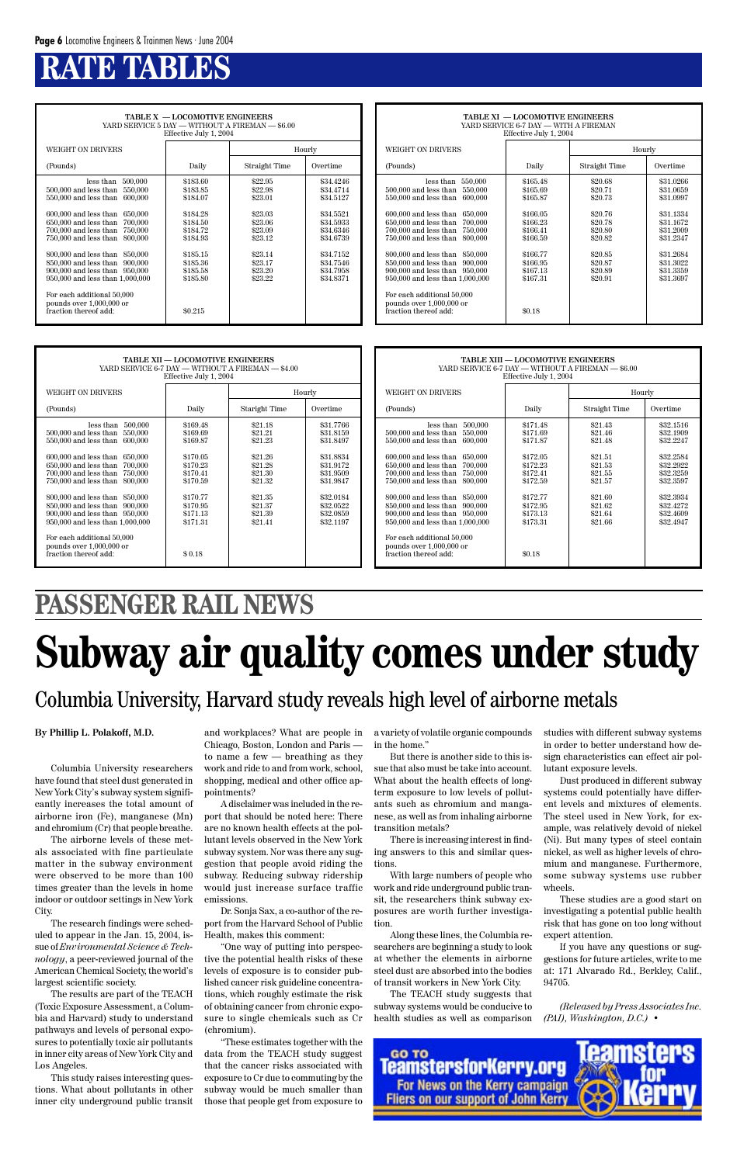**TABLE X — LOCOMOTIVE ENGINEERS** YARD SERVICE 5 DAY — WITHOUT A FIREMAN — \$6.00 Effective July 1, 2004 WEIGHT ON DRIVERS Hourly (Pounds) Daily Daily Straight Time Overtime less than 500,000 \$183.60 \$22.95 \$34.4246<br>less than 550,000 \$183.85 \$22.98 \$34.4714  $500,000$  and less than  $550,000$ 550,000 and less than 600,000 \$184.07 \$23.01 \$34.5127 600,000 and less than 650,000 \$184.28 \$23.03 \$34.5521<br>650,000 and less than 700,000 \$184.50 \$23.06 \$23.06 \$34.5933 650,000 and less than 700,000 \$184.50 \$23.06 \$34.5933<br>
700,000 and less than 750,000 \$184.72 \$23.09 \$34.6346 700,000 and less than 750,000 \$184.72 \$23.09 \$34.6346<br>750,000 and less than 800,000 \$184.93 \$23.12 \$34.6739  $750,000$  and less than  $800,000$ 800,000 and less than 850,000 <br>850,000 and less than 900,000 <br>\$185.36 \$23.17 \$34.7546 850,000 and less than 900,000 \$185.36 \$23.17 \$34.7546<br>900,000 and less than 950,000 \$185.58 \$23.20 \$34.7958 900,000 and less than 950,000 <br>950,000 and less than 1,000,000 <br>\$185.80 \$23.22 \$34.8371  $950,000$  and less than  $1,000,000$ For each additional 50,000 pounds over 1,000,000 or fraction thereof add:  $$0.215$ 

# **RATE TABLES**

| TABLE XI — LOCOMOTIVE ENGINEERS<br>YARD SERVICE 6-7 DAY — WITH A FIREMAN<br>Effective July 1, 2004                                                                                                                                                                                                                                                                                        |                                                                                                                                  |                                                                                                                       |                                                                                                                                             |  |  |  |  |
|-------------------------------------------------------------------------------------------------------------------------------------------------------------------------------------------------------------------------------------------------------------------------------------------------------------------------------------------------------------------------------------------|----------------------------------------------------------------------------------------------------------------------------------|-----------------------------------------------------------------------------------------------------------------------|---------------------------------------------------------------------------------------------------------------------------------------------|--|--|--|--|
| WEIGHT ON DRIVERS                                                                                                                                                                                                                                                                                                                                                                         |                                                                                                                                  |                                                                                                                       | Hourly                                                                                                                                      |  |  |  |  |
| (Pounds)                                                                                                                                                                                                                                                                                                                                                                                  | Daily                                                                                                                            | Straight Time                                                                                                         | Overtime                                                                                                                                    |  |  |  |  |
| less than $550,000$<br>500,000 and less than<br>550,000<br>550,000 and less than<br>600,000<br>$600,000$ and less than<br>650,000<br>650,000 and less than<br>700,000<br>700,000 and less than<br>750,000<br>800,000<br>750,000 and less than<br>800,000 and less than<br>850,000<br>850,000 and less than<br>900,000<br>900,000 and less than 950,000<br>950,000 and less than 1,000,000 | \$165.48<br>\$165.69<br>\$165.87<br>\$166.05<br>\$166.23<br>\$166.41<br>\$166.59<br>\$166.77<br>\$166.95<br>\$167.13<br>\$167.31 | \$20.68<br>\$20.71<br>\$20.73<br>\$20.76<br>\$20.78<br>\$20.80<br>\$20.82<br>\$20.85<br>\$20.87<br>\$20.89<br>\$20.91 | \$31.0266<br>\$31.0659<br>\$31.0997<br>\$31.1334<br>\$31.1672<br>\$31.2009<br>\$31.2347<br>\$31.2684<br>\$31.3022<br>\$31.3359<br>\$31.3697 |  |  |  |  |
| For each additional 50,000<br>pounds over 1,000,000 or<br>fraction thereof add:                                                                                                                                                                                                                                                                                                           | \$0.18                                                                                                                           |                                                                                                                       |                                                                                                                                             |  |  |  |  |

| <b>TABLE XII - LOCOMOTIVE ENGINEERS</b><br>YARD SERVICE 6-7 DAY — WITHOUT A FIREMAN — \$4.00<br>Effective July 1, 2004 |          |               |           |  |  |  |
|------------------------------------------------------------------------------------------------------------------------|----------|---------------|-----------|--|--|--|
| WEIGHT ON DRIVERS                                                                                                      |          |               | Hourly    |  |  |  |
| (Pounds)                                                                                                               | Daily    | Staright Time | Overtime  |  |  |  |
| less than<br>500,000                                                                                                   | \$169.48 | \$21.18       | \$31.7766 |  |  |  |
| 550,000<br>500,000 and less than                                                                                       | \$169.69 | \$21.21       | \$31.8159 |  |  |  |
| 550,000 and less than<br>600,000                                                                                       | \$169.87 | \$21.23       | \$31.8497 |  |  |  |
|                                                                                                                        |          |               |           |  |  |  |
| 600,000 and less than 650,000                                                                                          | \$170.05 | \$21.26       | \$31.8834 |  |  |  |
| 650,000 and less than 700,000                                                                                          | \$170.23 | \$21.28       | \$31.9172 |  |  |  |
| 700,000 and less than 750,000                                                                                          | \$170.41 | \$21.30       | \$31.9509 |  |  |  |
| 750,000 and less than<br>800,000                                                                                       | \$170.59 | \$21.32       | \$31.9847 |  |  |  |
|                                                                                                                        |          |               |           |  |  |  |
| 800,000 and less than 850,000                                                                                          | \$170.77 | \$21.35       | \$32.0184 |  |  |  |
| 850,000 and less than<br>900,000                                                                                       | \$170.95 | \$21.37       | \$32.0522 |  |  |  |
| 900,000 and less than 950,000                                                                                          | \$171.13 | \$21.39       | \$32,0859 |  |  |  |
| 950,000 and less than 1,000,000                                                                                        | \$171.31 | \$21.41       | \$32.1197 |  |  |  |
| For each additional 50,000<br>pounds over 1,000,000 or                                                                 |          |               |           |  |  |  |
| fraction thereof add:                                                                                                  | \$0.18   |               |           |  |  |  |
|                                                                                                                        |          |               |           |  |  |  |

| <b>TABLE XIII — LOCOMOTIVE ENGINEERS</b><br>YARD SERVICE 6-7 DAY — WITHOUT A FIREMAN — \$6.00<br>Effective July 1, 2004                                                                                                                                                                                                                                                                                                                                                  |                                                                                                                                            |                                                                                                                       |                                                                                                                                             |  |  |  |  |  |
|--------------------------------------------------------------------------------------------------------------------------------------------------------------------------------------------------------------------------------------------------------------------------------------------------------------------------------------------------------------------------------------------------------------------------------------------------------------------------|--------------------------------------------------------------------------------------------------------------------------------------------|-----------------------------------------------------------------------------------------------------------------------|---------------------------------------------------------------------------------------------------------------------------------------------|--|--|--|--|--|
| WEIGHT ON DRIVERS                                                                                                                                                                                                                                                                                                                                                                                                                                                        |                                                                                                                                            | Hourly                                                                                                                |                                                                                                                                             |  |  |  |  |  |
| (Pounds)                                                                                                                                                                                                                                                                                                                                                                                                                                                                 | Daily                                                                                                                                      | Straight Time                                                                                                         | Overtime                                                                                                                                    |  |  |  |  |  |
| less than<br>500,000<br>550,000<br>500,000 and less than<br>550,000 and less than<br>600,000<br>600,000 and less than<br>650,000<br>650,000 and less than<br>700,000<br>700,000 and less than<br>750,000<br>750,000 and less than<br>800,000<br>800,000 and less than 850,000<br>850,000 and less than<br>900,000<br>900,000 and less than 950,000<br>950,000 and less than 1,000,000<br>For each additional 50,000<br>pounds over 1,000,000 or<br>fraction thereof add: | \$171.48<br>\$171.69<br>\$171.87<br>\$172.05<br>\$172.23<br>\$172.41<br>\$172.59<br>\$172.77<br>\$172.95<br>\$173.13<br>\$173.31<br>\$0.18 | \$21.43<br>\$21.46<br>\$21.48<br>\$21.51<br>\$21.53<br>\$21.55<br>\$21.57<br>\$21.60<br>\$21.62<br>\$21.64<br>\$21.66 | \$32.1516<br>\$32.1909<br>\$32.2247<br>\$32.2584<br>\$32.2922<br>\$32,3259<br>\$32.3597<br>\$32.3934<br>\$32.4272<br>\$32.4609<br>\$32.4947 |  |  |  |  |  |

#### **By Phillip L. Polakoff, M.D.**

Columbia University researchers have found that steel dust generated in New York City's subway system significantly increases the total amount of airborne iron (Fe), manganese (Mn) and chromium (Cr) that people breathe.

The airborne levels of these metals associated with fine particulate

matter in the subway environment were observed to be more than 100 times greater than the levels in home indoor or outdoor settings in New York City.

The research findings were scheduled to appear in the Jan. 15, 2004, issue of *Environmental Science & Technology*, a peer-reviewed journal of the American Chemical Society, the world's largest scientific society.

The results are part of the TEACH (Toxic Exposure Assessment, a Columbia and Harvard) study to understand pathways and levels of personal exposures to potentially toxic air pollutants in inner city areas of New York City and Los Angeles.

This study raises interesting questions. What about pollutants in other inner city underground public transit and workplaces? What are people in Chicago, Boston, London and Paris to name a few — breathing as they work and ride to and from work, school, shopping, medical and other office appointments?

A disclaimer was included in the report that should be noted here: There are no known health effects at the pollutant levels observed in the New York subway system. Nor was there any suggestion that people avoid riding the subway. Reducing subway ridership would just increase surface traffic emissions. Dr. Sonja Sax, a co-author of the report from the Harvard School of Public Health, makes this comment: "One way of putting into perspective the potential health risks of these levels of exposure is to consider published cancer risk guideline concentrations, which roughly estimate the risk of obtaining cancer from chronic exposure to single chemicals such as Cr (chromium). "These estimates together with the data from the TEACH study suggest that the cancer risks associated with exposure to Cr due to commuting by the subway would be much smaller than those that people get from exposure to

a variety of volatile organic compounds in the home."

But there is another side to this issue that also must be take into account. What about the health effects of longterm exposure to low levels of pollutants such as chromium and manganese, as well as from inhaling airborne transition metals?

There is increasing interest in finding answers to this and similar questions.

With large numbers of people who work and ride underground public transit, the researchers think subway exposures are worth further investigation.

Along these lines, the Columbia researchers are beginning a study to look at whether the elements in airborne steel dust are absorbed into the bodies of transit workers in New York City.

The TEACH study suggests that subway systems would be conducive to health studies as well as comparison studies with different subway systems in order to better understand how design characteristics can effect air pollutant exposure levels.

Dust produced in different subway systems could potentially have different levels and mixtures of elements. The steel used in New York, for example, was relatively devoid of nickel (Ni). But many types of steel contain nickel, as well as higher levels of chromium and manganese. Furthermore, some subway systems use rubber wheels.

These studies are a good start on investigating a potential public health risk that has gone on too long without expert attention.

If you have any questions or suggestions for future articles, write to me at: 171 Alvarado Rd., Berkley, Calif., 94705.

*(Released by Press Associates Inc. (PAI), Washington, D.C.)* •



# **Subway air quality comes under study**

## **PASSENGER RAIL NEWS**

### Columbia University, Harvard study reveals high level of airborne metals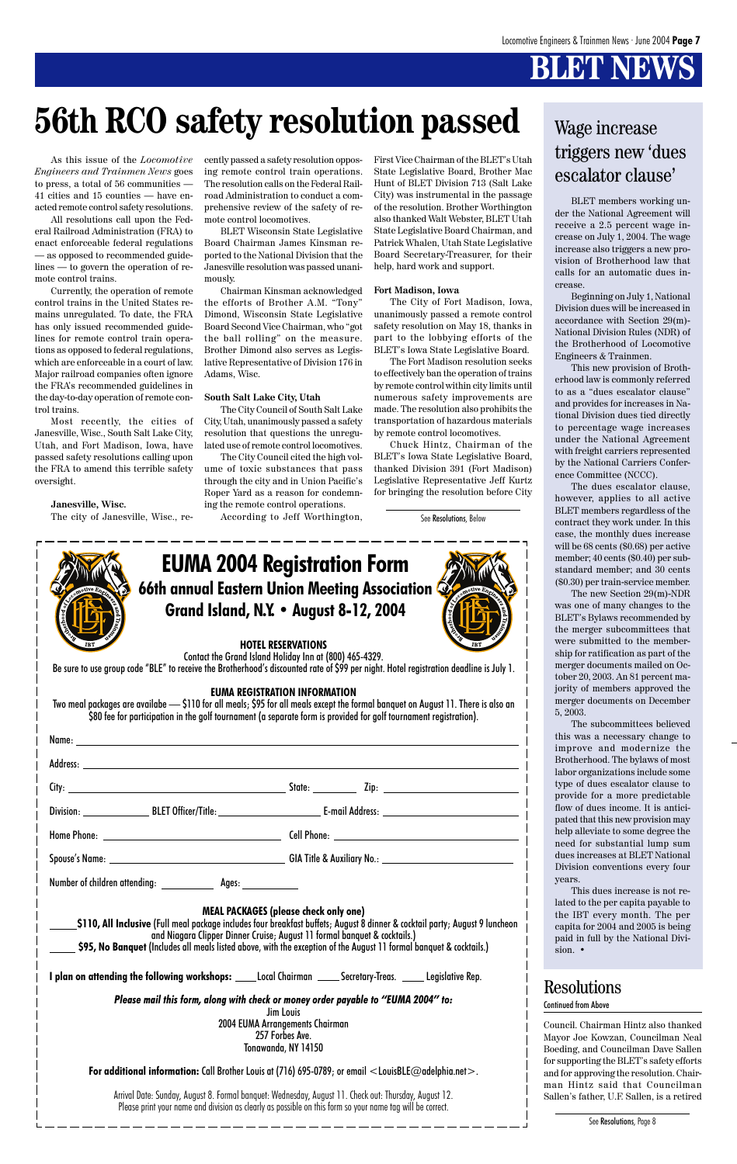# **BLET NEWS**

# **56th RCO safety resolution passed** Wage increase



BLET members working under the National Agreement will receive a 2.5 percent wage increase on July 1, 2004. The wage increase also triggers a new provision of Brotherhood law that calls for an automatic dues increase.

Beginning on July 1, National Division dues will be increased in accordance with Section 29(m)- National Division Rules (NDR) of the Brotherhood of Locomotive Engineers & Trainmen.

This new provision of Brotherhood law is commonly referred to as a "dues escalator clause" and provides for increases in National Division dues tied directly to percentage wage increases under the National Agreement with freight carriers represented by the National Carriers Conference Committee (NCCC).

|                                                                                         |                                                                                                                                                                                                                                                                                                                                                                                                                                                                                                                                        | ques increases at BLET National<br>Division conventions every four                                                                                                                                                                                                                                                                                                       |
|-----------------------------------------------------------------------------------------|----------------------------------------------------------------------------------------------------------------------------------------------------------------------------------------------------------------------------------------------------------------------------------------------------------------------------------------------------------------------------------------------------------------------------------------------------------------------------------------------------------------------------------------|--------------------------------------------------------------------------------------------------------------------------------------------------------------------------------------------------------------------------------------------------------------------------------------------------------------------------------------------------------------------------|
| Number of children attending:<br>Ages:                                                  | <b>MEAL PACKAGES (please check only one)</b><br>\$110, All Inclusive (Full meal package includes four breakfast buffets; August 8 dinner & cocktail party; August 9 luncheon<br>and Niagara Clipper Dinner Cruise; August 11 formal banquet & cocktails.)<br>\$95, No Banguet (Includes all meals listed above, with the exception of the August 11 formal banguet & cocktails.)                                                                                                                                                       | years.<br>This dues increase is not re-<br>lated to the per capita payable to<br>the IBT every month. The per<br>capita for 2004 and 2005 is being<br>paid in full by the National Divi-<br>sion. $\bullet$                                                                                                                                                              |
| I plan on attending the following workshops: _____Local Chairman ______Secretary-Treas. | Legislative Rep.<br>Please mail this form, along with check or money order payable to "EUMA 2004" to:<br>Jim Louis<br>2004 EUMA Arrangements Chairman<br>257 Forbes Ave.<br>Tonawanda, NY 14150<br>For additional information: Call Brother Louis at (716) 695-0789; or email $\leq$ LouisBLE@adelphia.net $>$ .<br>Arrival Date: Sunday, August 8. Formal banquet: Wednesday, August 11. Check out: Thursday, August 12.<br>Please print your name and division as clearly as possible on this form so your name tag will be correct. | <b>Resolutions</b><br><b>Continued from Above</b><br>Council. Chairman Hintz also thanked<br>Mayor Joe Kowzan, Councilman Neal<br>Boeding, and Councilman Dave Sallen<br>for supporting the BLET's safety efforts<br>and for approving the resolution. Chair-<br>man Hintz said that Councilman<br>Sallen's father, U.F. Sallen, is a retired<br>See Resolutions, Page 8 |

The dues escalator clause, however, applies to all active BLET members regardless of the contract they work under. In this case, the monthly dues increase will be 68 cents (\$0.68) per active member; 40 cents (\$0.40) per substandard member; and 30 cents (\$0.30) per train-service member.

The new Section 29(m)-NDR was one of many changes to the BLET's Bylaws recommended by the merger subcommittees that were submitted to the membership for ratification as part of the merger documents mailed on October 20, 2003. An 81 percent majority of members approved the merger documents on December 5, 2003.

The subcommittees believed this was a necessary change to improve and modernize the Brotherhood. The bylaws of most labor organizations include some type of dues escalator clause to provide for a more predictable flow of dues income. It is anticipated that this new provision may help alleviate to some degree the need for substantial lump sum dues increases at BLET National



As this issue of the *Locomotive Engineers and Trainmen News* goes to press, a total of 56 communities — 41 cities and 15 counties — have enacted remote control safety resolutions.

All resolutions call upon the Federal Railroad Administration (FRA) to enact enforceable federal regulations — as opposed to recommended guidelines — to govern the operation of remote control trains.

Currently, the operation of remote control trains in the United States remains unregulated. To date, the FRA has only issued recommended guidelines for remote control train operations as opposed to federal regulations, which are enforceable in a court of law. Major railroad companies often ignore the FRA's recommended guidelines in the day-to-day operation of remote control trains.

Most recently, the cities of Janesville, Wisc., South Salt Lake City, Utah, and Fort Madison, Iowa, have passed safety resolutions calling upon the FRA to amend this terrible safety oversight.

**Janesville, Wisc.** The city of Janesville, Wisc., recently passed a safety resolution opposing remote control train operations. The resolution calls on the Federal Railroad Administration to conduct a comprehensive review of the safety of remote control locomotives.

BLET Wisconsin State Legislative Board Chairman James Kinsman reported to the National Division that the Janesville resolution was passed unanimously.

Chairman Kinsman acknowledged the efforts of Brother A.M. "Tony" Dimond, Wisconsin State Legislative Board Second Vice Chairman, who "got the ball rolling" on the measure. Brother Dimond also serves as Legislative Representative of Division 176 in Adams, Wisc.

#### **South Salt Lake City, Utah**

The City Council of South Salt Lake City, Utah, unanimously passed a safety resolution that questions the unregulated use of remote control locomotives.

The City Council cited the high volume of toxic substances that pass through the city and in Union Pacific's Roper Yard as a reason for condemning the remote control operations.

According to Jeff Worthington,

First Vice Chairman of the BLET's Utah State Legislative Board, Brother Mac Hunt of BLET Division 713 (Salt Lake City) was instrumental in the passage of the resolution. Brother Worthington also thanked Walt Webster, BLET Utah State Legislative Board Chairman, and Patrick Whalen, Utah State Legislative Board Secretary-Treasurer, for their help, hard work and support.

#### **Fort Madison, Iowa**

The City of Fort Madison, Iowa, unanimously passed a remote control safety resolution on May 18, thanks in part to the lobbying efforts of the BLET's Iowa State Legislative Board.

The Fort Madison resolution seeks to effectively ban the operation of trains by remote control within city limits until numerous safety improvements are made. The resolution also prohibits the transportation of hazardous materials by remote control locomotives.

Chuck Hintz, Chairman of the BLET's Iowa State Legislative Board, thanked Division 391 (Fort Madison) Legislative Representative Jeff Kurtz for bringing the resolution before City



### Division: BLET Officer/Title: E-mail Address:

Home Phone: Cell Phone:

See Resolutions, Below